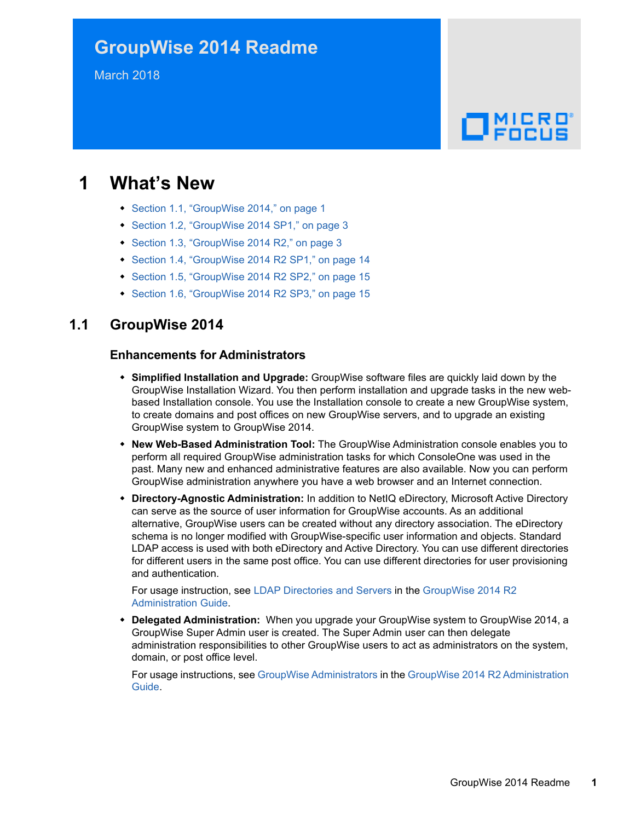## **GroupWise 2014 Readme**

March 2018

# $\Box$ MICRO

## **1 What's New**

- [Section 1.1, "GroupWise 2014," on page 1](#page-0-0)
- [Section 1.2, "GroupWise 2014 SP1," on page 3](#page-2-0)
- [Section 1.3, "GroupWise 2014 R2," on page 3](#page-2-1)
- [Section 1.4, "GroupWise 2014 R2 SP1," on page 14](#page-13-0)
- ◆ [Section 1.5, "GroupWise 2014 R2 SP2," on page 15](#page-14-0)
- [Section 1.6, "GroupWise 2014 R2 SP3," on page 15](#page-14-1)

### <span id="page-0-0"></span>**1.1 GroupWise 2014**

#### **Enhancements for Administrators**

- **Simplified Installation and Upgrade:** GroupWise software files are quickly laid down by the GroupWise Installation Wizard. You then perform installation and upgrade tasks in the new webbased Installation console. You use the Installation console to create a new GroupWise system, to create domains and post offices on new GroupWise servers, and to upgrade an existing GroupWise system to GroupWise 2014.
- **New Web-Based Administration Tool:** The GroupWise Administration console enables you to perform all required GroupWise administration tasks for which ConsoleOne was used in the past. Many new and enhanced administrative features are also available. Now you can perform GroupWise administration anywhere you have a web browser and an Internet connection.
- **Directory-Agnostic Administration:** In addition to NetIQ eDirectory, Microsoft Active Directory can serve as the source of user information for GroupWise accounts. As an additional alternative, GroupWise users can be created without any directory association. The eDirectory schema is no longer modified with GroupWise-specific user information and objects. Standard LDAP access is used with both eDirectory and Active Directory. You can use different directories for different users in the same post office. You can use different directories for user provisioning and authentication.

For usage instruction, see [LDAP Directories and Servers](https://www.novell.com/documentation/groupwise2014r2/pdfdoc/gw2014_guide_admin/gw2014_guide_admin.pdf#admsystoolsldapservers) in the [GroupWise 2014 R2](https://www.novell.com/documentation/groupwise2014r2/pdfdoc/gw2014_guide_admin/gw2014_guide_admin.pdf#adminfront)  Administration Guide.

 **Delegated Administration:** When you upgrade your GroupWise system to GroupWise 2014, a GroupWise Super Admin user is created. The Super Admin user can then delegate administration responsibilities to other GroupWise users to act as administrators on the system, domain, or post office level.

For usage instructions, see [GroupWise Administrators](https://www.novell.com/documentation/groupwise2014r2/pdfdoc/gw2014_guide_admin/gw2014_guide_admin.pdf#admsysadministrators) in the [GroupWise 2014 R2 Administration](https://www.novell.com/documentation/groupwise2014r2/pdfdoc/gw2014_guide_admin/gw2014_guide_admin.pdf#adminfront)  Guide.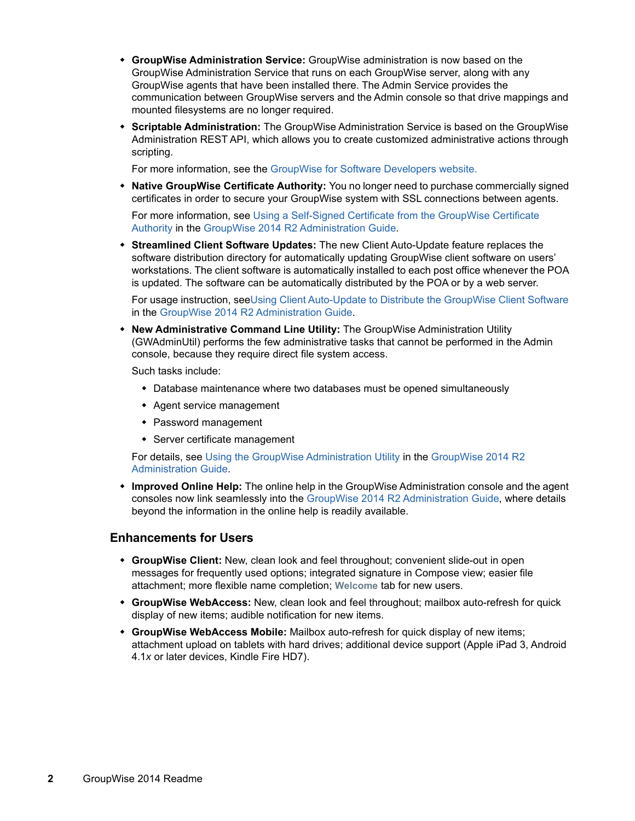- **GroupWise Administration Service:** GroupWise administration is now based on the GroupWise Administration Service that runs on each GroupWise server, along with any GroupWise agents that have been installed there. The Admin Service provides the communication between GroupWise servers and the Admin console so that drive mappings and mounted filesystems are no longer required.
- **Scriptable Administration:** The GroupWise Administration Service is based on the GroupWise Administration REST API, which allows you to create customized administrative actions through scripting.

For more information, see the [GroupWise for Software Developers website.](https://www.novell.com/developer/ndk/groupwise/develop_to_groupwise.html)

 **Native GroupWise Certificate Authority:** You no longer need to purchase commercially signed certificates in order to secure your GroupWise system with SSL connections between agents.

For more information, see [Using a Self-Signed Certificate from the GroupWise Certificate](https://www.novell.com/documentation/groupwise2014r2/pdfdoc/gw2014_guide_admin/gw2014_guide_admin.pdf#admsecadmcertgw)  Authority in the [GroupWise 2014 R2 Administration Guide.](https://www.novell.com/documentation/groupwise2014r2/pdfdoc/gw2014_guide_admin/gw2014_guide_admin.pdf#adminfront)

 **Streamlined Client Software Updates:** The new Client Auto-Update feature replaces the software distribution directory for automatically updating GroupWise client software on users' workstations. The client software is automatically installed to each post office whenever the POA is updated. The software can be automatically distributed by the POA or by a web server.

For usage instruction, se[eUsing Client Auto-Update to Distribute the GroupWise Client Software](https://www.novell.com/documentation/groupwise2014r2/pdfdoc/gw2014_guide_admin/gw2014_guide_admin.pdf#admclidistclientautoupdate) in the [GroupWise 2014 R2 Administration Guide.](https://www.novell.com/documentation/groupwise2014r2/pdfdoc/gw2014_guide_admin/gw2014_guide_admin.pdf#adminfront)

 **New Administrative Command Line Utility:** The GroupWise Administration Utility (GWAdminUtil) performs the few administrative tasks that cannot be performed in the Admin console, because they require direct file system access.

Such tasks include:

- Database maintenance where two databases must be opened simultaneously
- Agent service management
- Password management
- Server certificate management

For details, see [Using the GroupWise Administration Utility](https://www.novell.com/documentation/groupwise2014r2/pdfdoc/gw2014_guide_admin/gw2014_guide_admin.pdf#b19f7sfd) in the [GroupWise 2014 R2](https://www.novell.com/documentation/groupwise2014r2/pdfdoc/gw2014_guide_admin/gw2014_guide_admin.pdf#adminfront)  Administration Guide.

 **Improved Online Help:** The online help in the GroupWise Administration console and the agent consoles now link seamlessly into the [GroupWise 2014 R2 Administration Guide](https://www.novell.com/documentation/groupwise2014r2/pdfdoc/gw2014_guide_admin/gw2014_guide_admin.pdf#adminfront), where details beyond the information in the online help is readily available.

#### **Enhancements for Users**

- **GroupWise Client:** New, clean look and feel throughout; convenient slide-out in open messages for frequently used options; integrated signature in Compose view; easier file attachment; more flexible name completion; **Welcome** tab for new users.
- **GroupWise WebAccess:** New, clean look and feel throughout; mailbox auto-refresh for quick display of new items; audible notification for new items.
- **GroupWise WebAccess Mobile:** Mailbox auto-refresh for quick display of new items; attachment upload on tablets with hard drives; additional device support (Apple iPad 3, Android 4.1*x* or later devices, Kindle Fire HD7).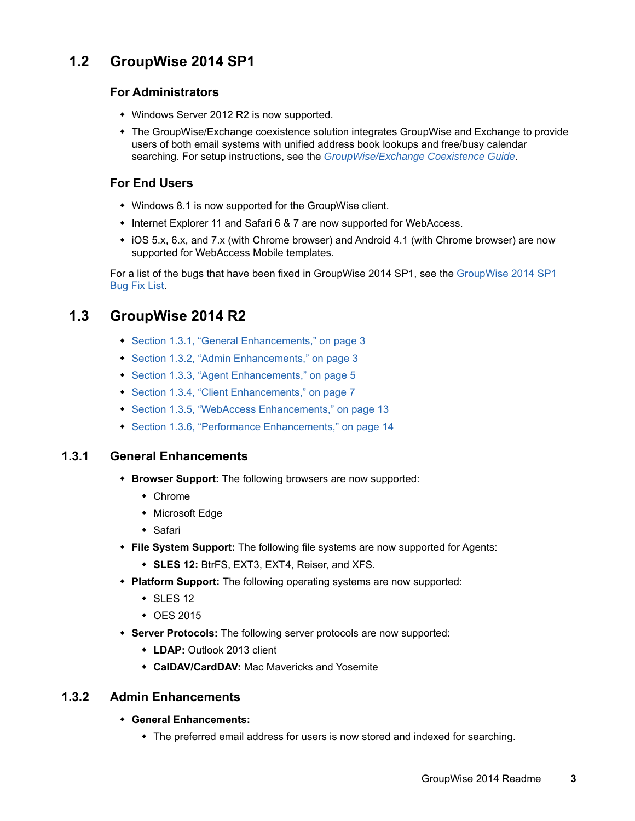## <span id="page-2-0"></span>**1.2 GroupWise 2014 SP1**

#### **For Administrators**

- Windows Server 2012 R2 is now supported.
- The GroupWise/Exchange coexistence solution integrates GroupWise and Exchange to provide users of both email systems with unified address book lookups and free/busy calendar searching. For setup instructions, see the *[GroupWise/Exchange Coexistence Guide](https://www.novell.com/documentation/groupwise2014r2/pdfdoc/gw2014_guide_exchcoexist/gw2014_guide_exchcoexist.pdf#coexfront)*.

#### **For End Users**

- Windows 8.1 is now supported for the GroupWise client.
- Internet Explorer 11 and Safari 6 & 7 are now supported for WebAccess.
- iOS 5.x, 6.x, and 7.x (with Chrome browser) and Android 4.1 (with Chrome browser) are now supported for WebAccess Mobile templates.

For a list of the bugs that have been fixed in GroupWise 2014 SP1, see the [GroupWise 2014 SP1](https://www.novell.com/documentation/groupwise2014/gw2014sp1_bugfixlist/data/gw2014sp1_bugfixlist.html)  [Bug Fix List](https://www.novell.com/documentation/groupwise2014/gw2014sp1_bugfixlist/data/gw2014sp1_bugfixlist.html).

## <span id="page-2-1"></span>**1.3 GroupWise 2014 R2**

- [Section 1.3.1, "General Enhancements," on page 3](#page-2-2)
- [Section 1.3.2, "Admin Enhancements," on page 3](#page-2-3)
- [Section 1.3.3, "Agent Enhancements," on page 5](#page-4-0)
- [Section 1.3.4, "Client Enhancements," on page 7](#page-6-0)
- ◆ [Section 1.3.5, "WebAccess Enhancements," on page 13](#page-12-0)
- [Section 1.3.6, "Performance Enhancements," on page 14](#page-13-1)

#### <span id="page-2-2"></span>**1.3.1 General Enhancements**

- **Browser Support:** The following browsers are now supported:
	- Chrome
	- Microsoft Edge
	- Safari
- **File System Support:** The following file systems are now supported for Agents:
	- **SLES 12:** BtrFS, EXT3, EXT4, Reiser, and XFS.
- **Platform Support:** The following operating systems are now supported:
	- $\cdot$  SLES 12
	- OES 2015
- **Server Protocols:** The following server protocols are now supported:
	- **LDAP:** Outlook 2013 client
	- **CalDAV/CardDAV:** Mac Mavericks and Yosemite

#### <span id="page-2-3"></span>**1.3.2 Admin Enhancements**

- **General Enhancements:** 
	- The preferred email address for users is now stored and indexed for searching.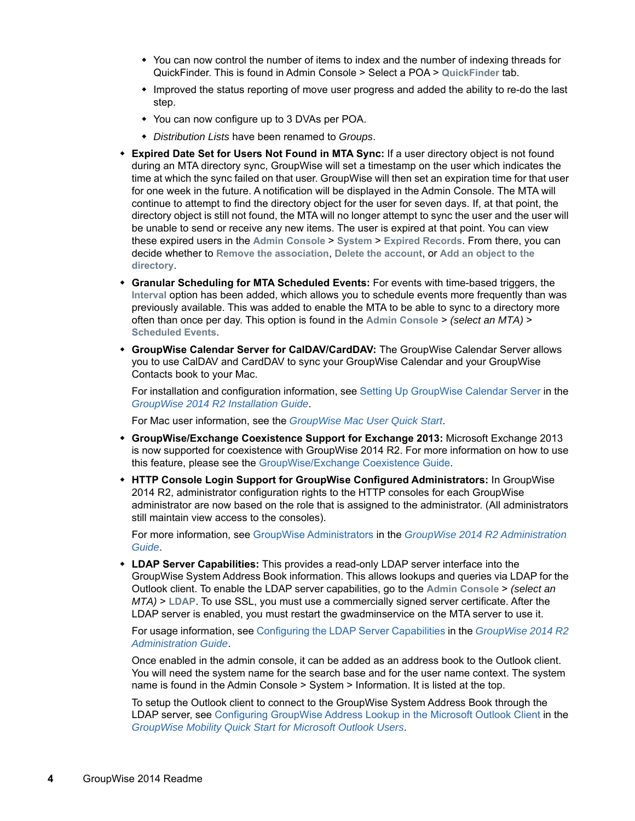- You can now control the number of items to index and the number of indexing threads for QuickFinder. This is found in Admin Console > Select a POA > **QuickFinder** tab.
- Improved the status reporting of move user progress and added the ability to re-do the last step.
- You can now configure up to 3 DVAs per POA.
- *Distribution Lists* have been renamed to *Groups*.
- **Expired Date Set for Users Not Found in MTA Sync:** If a user directory object is not found during an MTA directory sync, GroupWise will set a timestamp on the user which indicates the time at which the sync failed on that user. GroupWise will then set an expiration time for that user for one week in the future. A notification will be displayed in the Admin Console. The MTA will continue to attempt to find the directory object for the user for seven days. If, at that point, the directory object is still not found, the MTA will no longer attempt to sync the user and the user will be unable to send or receive any new items. The user is expired at that point. You can view these expired users in the **Admin Console** > **System** > **Expired Records**. From there, you can decide whether to **Remove the association**, **Delete the account**, or **Add an object to the directory**.
- **Granular Scheduling for MTA Scheduled Events:** For events with time-based triggers, the **Interval** option has been added, which allows you to schedule events more frequently than was previously available. This was added to enable the MTA to be able to sync to a directory more often than once per day. This option is found in the **Admin Console** > *(select an MTA)* > **Scheduled Events**.
- **GroupWise Calendar Server for CalDAV/CardDAV:** The GroupWise Calendar Server allows you to use CalDAV and CardDAV to sync your GroupWise Calendar and your GroupWise Contacts book to your Mac.

For installation and configuration information, see [Setting Up GroupWise Calendar Server](https://www.novell.com/documentation/groupwise2014r2/pdfdoc/gw2014_guide_install/gw2014_guide_install.pdf#b1g6hefz) in the *[GroupWise 2014 R2 Installation Guide](https://www.novell.com/documentation/groupwise2014r2/pdfdoc/gw2014_guide_install/gw2014_guide_install.pdf#instfront)*.

For Mac user information, see the *[GroupWise Mac User Quick Start](https://www.novell.com/documentation/groupwise2014r2/gw2014_qs_mac/data/gw2014_qs_mac.html)*.

- **GroupWise/Exchange Coexistence Support for Exchange 2013:** Microsoft Exchange 2013 is now supported for coexistence with GroupWise 2014 R2. For more information on how to use this feature, please see the [GroupWise/Exchange Coexistence Guide](https://www.novell.com/documentation/groupwise2014r2/pdfdoc/gw2014_guide_exchcoexist/gw2014_guide_exchcoexist.pdf#coexfront).
- **HTTP Console Login Support for GroupWise Configured Administrators:** In GroupWise 2014 R2, administrator configuration rights to the HTTP consoles for each GroupWise administrator are now based on the role that is assigned to the administrator. (All administrators still maintain view access to the consoles).

For more information, see [GroupWise Administrators](https://www.novell.com/documentation/groupwise2014r2/pdfdoc/gw2014_guide_admin/gw2014_guide_admin.pdf#admsysadministrators) in the *[GroupWise 2014 R2 Administration](https://www.novell.com/documentation/groupwise2014r2/pdfdoc/gw2014_guide_admin/gw2014_guide_admin.pdf#adminfront)  Guide*.

 **LDAP Server Capabilities:** This provides a read-only LDAP server interface into the GroupWise System Address Book information. This allows lookups and queries via LDAP for the Outlook client. To enable the LDAP server capabilities, go to the **Admin Console** > *(select an MTA)* > **LDAP**. To use SSL, you must use a commercially signed server certificate. After the LDAP server is enabled, you must restart the gwadminservice on the MTA server to use it.

For usage information, see [Configuring the LDAP Server Capabilities](https://www.novell.com/documentation/groupwise2014r2/pdfdoc/gw2014_guide_admin/gw2014_guide_admin.pdf#b1fdnw8g) in the *[GroupWise 2014 R2](https://www.novell.com/documentation/groupwise2014r2/pdfdoc/gw2014_guide_admin/gw2014_guide_admin.pdf#adminfront)  Administration Guide*.

Once enabled in the admin console, it can be added as an address book to the Outlook client. You will need the system name for the search base and for the user name context. The system name is found in the Admin Console > System > Information. It is listed at the top.

To setup the Outlook client to connect to the GroupWise System Address Book through the LDAP server, see [Configuring GroupWise Address Lookup in the Microsoft Outlook Client](https://www.novell.com/documentation/groupwisemobility2014r2/pdfdoc/gwmob2014r2_qs_outlook_user/gwmob2014r2_qs_outlook_user.pdf#b1e0varp) in the *[GroupWise Mobility Quick Start for Microsoft Outlook Users](https://www.novell.com/documentation/groupwisemobility2014r2/pdfdoc/gwmob2014r2_qs_outlook_user/gwmob2014r2_qs_outlook_user.pdf#gwmob2qsoutlookuser)*.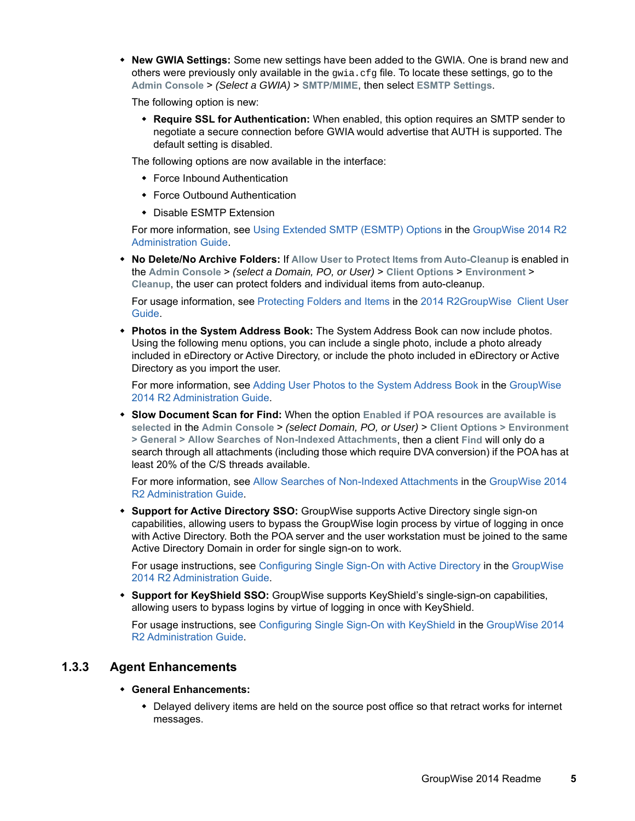**New GWIA Settings:** Some new settings have been added to the GWIA. One is brand new and others were previously only available in the  $qwia.cfq$  file. To locate these settings, go to the **Admin Console** > *(Select a GWIA)* > **SMTP/MIME**, then select **ESMTP Settings**.

The following option is new:

 **Require SSL for Authentication:** When enabled, this option requires an SMTP sender to negotiate a secure connection before GWIA would advertise that AUTH is supported. The default setting is disabled.

The following options are now available in the interface:

- Force Inbound Authentication
- Force Outbound Authentication
- Disable ESMTP Extension

For more information, see [Using Extended SMTP \(ESMTP\) Options](https://www.novell.com/documentation/groupwise2014r2/pdfdoc/gw2014_guide_admin/gw2014_guide_admin.pdf#admgwiainetsmtpesmtp) in the [GroupWise 2014 R2](https://www.novell.com/documentation/groupwise2014r2/pdfdoc/gw2014_guide_admin/gw2014_guide_admin.pdf#adminfront)  Administration Guide.

 **No Delete/No Archive Folders:** If **Allow User to Protect Items from Auto-Cleanup** is enabled in the **Admin Console** > *(select a Domain, PO, or User)* > **Client Options** > **Environment** > **Cleanup**, the user can protect folders and individual items from auto-cleanup.

For usage information, see [Protecting Folders and Items](https://www.novell.com/documentation/groupwise2014r2/pdfdoc/gw2014_guide_userwin/gw2014_guide_userwin.pdf#b1etqka7) in the [2014 R2GroupWise Client User](https://www.novell.com/documentation/groupwise2014r2/pdfdoc/gw2014_guide_userwin/gw2014_guide_userwin.pdf#frontpage)  Guide.

 **Photos in the System Address Book:** The System Address Book can now include photos. Using the following menu options, you can include a single photo, include a photo already included in eDirectory or Active Directory, or include the photo included in eDirectory or Active Directory as you import the user.

For more information, see [Adding User Photos to the System Address Book](https://www.novell.com/documentation/groupwise2014r2/pdfdoc/gw2014_guide_admin/gw2014_guide_admin.pdf#b1f1d0jn) in the [GroupWise](https://www.novell.com/documentation/groupwise2014r2/pdfdoc/gw2014_guide_admin/gw2014_guide_admin.pdf#adminfront)  2014 R2 Administration Guide.

 **Slow Document Scan for Find:** When the option **Enabled if POA resources are available is selected** in the **Admin Console** > *(select Domain, PO, or User)* > **Client Options > Environment > General > Allow Searches of Non-Indexed Attachments**, then a client **Find** will only do a search through all attachments (including those which require DVA conversion) if the POA has at least 20% of the C/S threads available.

For more information, see [Allow Searches of Non-Indexed Attachments](https://www.novell.com/documentation/groupwise2014r2/pdfdoc/gw2014_guide_admin/gw2014_guide_admin.pdf#b1f1f5j7) in the [GroupWise 2014](https://www.novell.com/documentation/groupwise2014r2/pdfdoc/gw2014_guide_admin/gw2014_guide_admin.pdf#adminfront)  R2 Administration Guide.

 **Support for Active Directory SSO:** GroupWise supports Active Directory single sign-on capabilities, allowing users to bypass the GroupWise login process by virtue of logging in once with Active Directory. Both the POA server and the user workstation must be joined to the same Active Directory Domain in order for single sign-on to work.

For usage instructions, see [Configuring Single Sign-On with Active Directory](https://www.novell.com/documentation/groupwise2014r2/pdfdoc/gw2014_guide_admin/gw2014_guide_admin.pdf#b1f0s9uy) in the [GroupWise](https://www.novell.com/documentation/groupwise2014r2/pdfdoc/gw2014_guide_admin/gw2014_guide_admin.pdf#adminfront)  2014 R2 Administration Guide.

 **Support for KeyShield SSO:** GroupWise supports KeyShield's single-sign-on capabilities, allowing users to bypass logins by virtue of logging in once with KeyShield.

For usage instructions, see [Configuring Single Sign-On with KeyShield](https://www.novell.com/documentation/groupwise2014r2/pdfdoc/gw2014_guide_admin/gw2014_guide_admin.pdf#b1f0s9ux) in the [GroupWise 2014](https://www.novell.com/documentation/groupwise2014r2/pdfdoc/gw2014_guide_admin/gw2014_guide_admin.pdf#adminfront)  R2 Administration Guide.

#### <span id="page-4-0"></span>**1.3.3 Agent Enhancements**

#### **General Enhancements:**

 Delayed delivery items are held on the source post office so that retract works for internet messages.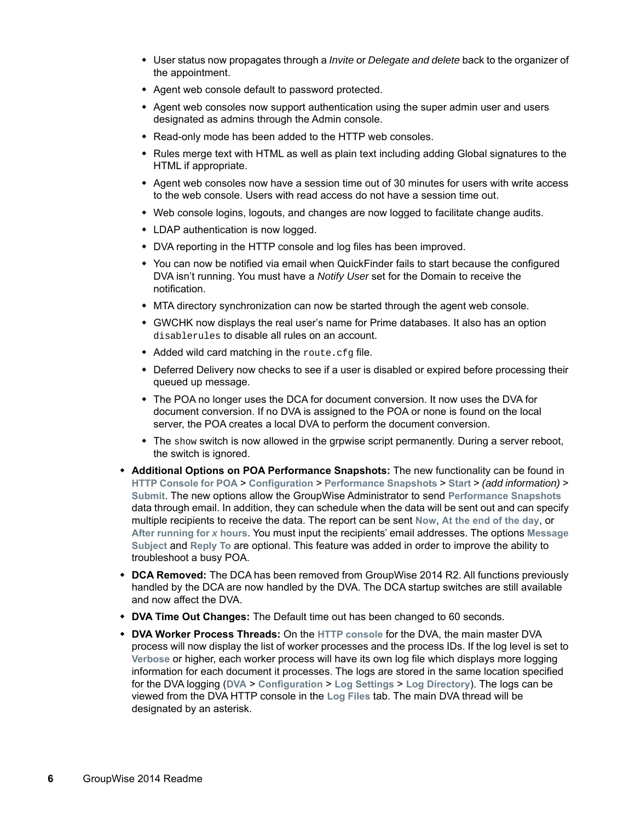- User status now propagates through a *Invite* or *Delegate and delete* back to the organizer of the appointment.
- Agent web console default to password protected.
- Agent web consoles now support authentication using the super admin user and users designated as admins through the Admin console.
- Read-only mode has been added to the HTTP web consoles.
- Rules merge text with HTML as well as plain text including adding Global signatures to the HTML if appropriate.
- Agent web consoles now have a session time out of 30 minutes for users with write access to the web console. Users with read access do not have a session time out.
- Web console logins, logouts, and changes are now logged to facilitate change audits.
- LDAP authentication is now logged.
- DVA reporting in the HTTP console and log files has been improved.
- You can now be notified via email when QuickFinder fails to start because the configured DVA isn't running. You must have a *Notify User* set for the Domain to receive the notification.
- MTA directory synchronization can now be started through the agent web console.
- GWCHK now displays the real user's name for Prime databases. It also has an option disablerules to disable all rules on an account.
- Added wild card matching in the route.cfg file.
- Deferred Delivery now checks to see if a user is disabled or expired before processing their queued up message.
- The POA no longer uses the DCA for document conversion. It now uses the DVA for document conversion. If no DVA is assigned to the POA or none is found on the local server, the POA creates a local DVA to perform the document conversion.
- $\bullet$  The show switch is now allowed in the grpwise script permanently. During a server reboot, the switch is ignored.
- **Additional Options on POA Performance Snapshots:** The new functionality can be found in **HTTP Console for POA** > **Configuration** > **Performance Snapshots** > **Start** > *(add information)* > **Submit**. The new options allow the GroupWise Administrator to send **Performance Snapshots** data through email. In addition, they can schedule when the data will be sent out and can specify multiple recipients to receive the data. The report can be sent **Now**, **At the end of the day**, or **After running for** *x* **hours**. You must input the recipients' email addresses. The options **Message Subject** and **Reply To** are optional. This feature was added in order to improve the ability to troubleshoot a busy POA.
- **DCA Removed:** The DCA has been removed from GroupWise 2014 R2. All functions previously handled by the DCA are now handled by the DVA. The DCA startup switches are still available and now affect the DVA.
- **DVA Time Out Changes:** The Default time out has been changed to 60 seconds.
- **DVA Worker Process Threads:** On the **HTTP console** for the DVA, the main master DVA process will now display the list of worker processes and the process IDs. If the log level is set to **Verbose** or higher, each worker process will have its own log file which displays more logging information for each document it processes. The logs are stored in the same location specified for the DVA logging (**DVA** > **Configuration** > **Log Settings** > **Log Directory**). The logs can be viewed from the DVA HTTP console in the **Log Files** tab. The main DVA thread will be designated by an asterisk.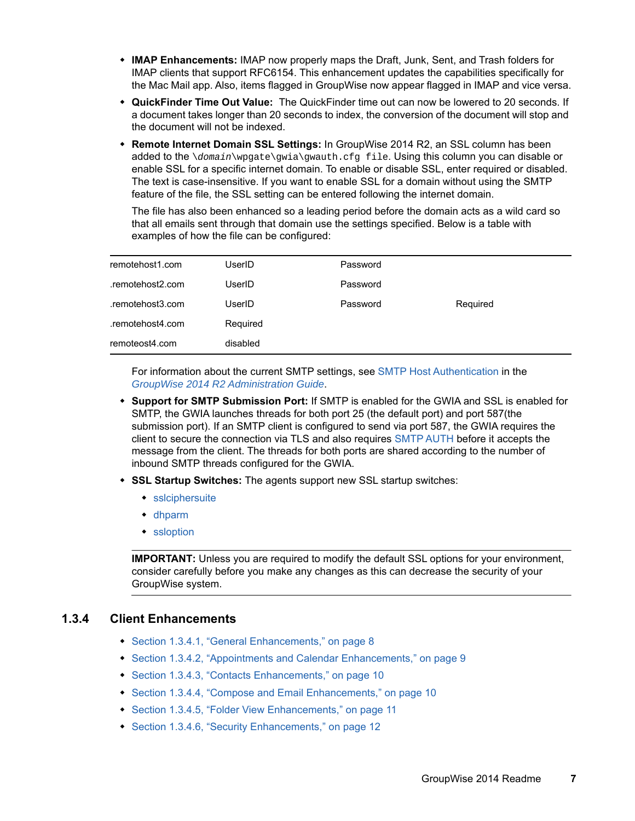- **IMAP Enhancements:** IMAP now properly maps the Draft, Junk, Sent, and Trash folders for IMAP clients that support RFC6154. This enhancement updates the capabilities specifically for the Mac Mail app. Also, items flagged in GroupWise now appear flagged in IMAP and vice versa.
- **QuickFinder Time Out Value:** The QuickFinder time out can now be lowered to 20 seconds. If a document takes longer than 20 seconds to index, the conversion of the document will stop and the document will not be indexed.
- **Remote Internet Domain SSL Settings:** In GroupWise 2014 R2, an SSL column has been added to the \*domain*\wpgate\gwia\gwauth.cfg file. Using this column you can disable or enable SSL for a specific internet domain. To enable or disable SSL, enter required or disabled. The text is case-insensitive. If you want to enable SSL for a domain without using the SMTP feature of the file, the SSL setting can be entered following the internet domain.

The file has also been enhanced so a leading period before the domain acts as a wild card so that all emails sent through that domain use the settings specified. Below is a table with examples of how the file can be configured:

| remotehost1.com  | UserID   | Password |          |
|------------------|----------|----------|----------|
| .remotehost2.com | UserID   | Password |          |
| .remotehost3.com | UserID   | Password | Required |
| .remotehost4.com | Required |          |          |
| remoteost4.com   | disabled |          |          |

For information about the current SMTP settings, see [SMTP Host Authentication](https://www.novell.com/documentation/groupwise2014r2/pdfdoc/gw2014_guide_admin/gw2014_guide_admin.pdf#admgwiainetuserjunkhostauth) in the *[GroupWise 2014 R2 Administration Guide](https://www.novell.com/documentation/groupwise2014r2/pdfdoc/gw2014_guide_admin/gw2014_guide_admin.pdf#adminfront)*.

- **Support for SMTP Submission Port:** If SMTP is enabled for the GWIA and SSL is enabled for SMTP, the GWIA launches threads for both port 25 (the default port) and port 587(the submission port). If an SMTP client is configured to send via port 587, the GWIA requires the client to secure the connection via TLS and also requires [SMTP AUTH](https://www.novell.com/documentation/groupwise2014r2/pdfdoc/gw2014_guide_admin/gw2014_guide_admin.pdf#admgwiaswitchessmtphostauth) before it accepts the message from the client. The threads for both ports are shared according to the number of inbound SMTP threads configured for the GWIA.
- **SSL Startup Switches:** The agents support new SSL startup switches:
	- [sslciphersuite](https://www.novell.com/documentation/groupwise2014r2/pdfdoc/gw2014_guide_admin/gw2014_guide_admin.pdf#b1fuqjj7)
	- [dhparm](https://www.novell.com/documentation/groupwise2014r2/pdfdoc/gw2014_guide_admin/gw2014_guide_admin.pdf#b1icabxg)
	- [ssloption](https://www.novell.com/documentation/groupwise2014r2/pdfdoc/gw2014_guide_admin/gw2014_guide_admin.pdf#b1icaeeh)

**IMPORTANT:** Unless you are required to modify the default SSL options for your environment, consider carefully before you make any changes as this can decrease the security of your GroupWise system.

#### <span id="page-6-0"></span>**1.3.4 Client Enhancements**

- [Section 1.3.4.1, "General Enhancements," on page 8](#page-7-0)
- [Section 1.3.4.2, "Appointments and Calendar Enhancements," on page 9](#page-8-0)
- [Section 1.3.4.3, "Contacts Enhancements," on page 10](#page-9-0)
- [Section 1.3.4.4, "Compose and Email Enhancements," on page 10](#page-9-1)
- [Section 1.3.4.5, "Folder View Enhancements," on page 11](#page-10-0)
- ◆ [Section 1.3.4.6, "Security Enhancements," on page 12](#page-11-0)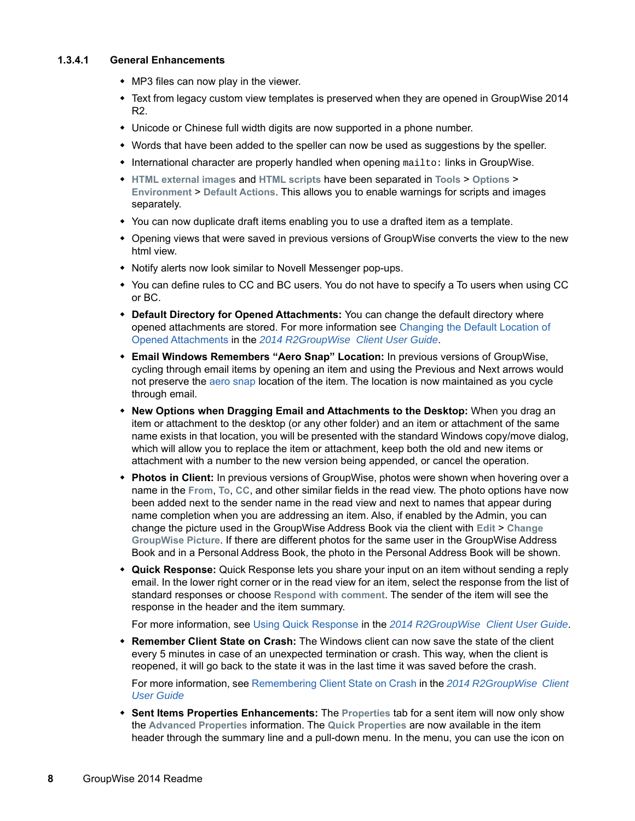#### <span id="page-7-0"></span>**1.3.4.1 General Enhancements**

- MP3 files can now play in the viewer.
- Text from legacy custom view templates is preserved when they are opened in GroupWise 2014 R2.
- Unicode or Chinese full width digits are now supported in a phone number.
- Words that have been added to the speller can now be used as suggestions by the speller.
- $\bullet$  International character are properly handled when opening  $\text{mailto}:$  links in GroupWise.
- **HTML external images** and **HTML scripts** have been separated in **Tools** > **Options** > **Environment** > **Default Actions**. This allows you to enable warnings for scripts and images separately.
- You can now duplicate draft items enabling you to use a drafted item as a template.
- Opening views that were saved in previous versions of GroupWise converts the view to the new html view.
- Notify alerts now look similar to Novell Messenger pop-ups.
- You can define rules to CC and BC users. You do not have to specify a To users when using CC or BC.
- **Default Directory for Opened Attachments:** You can change the default directory where opened attachments are stored. For more information see [Changing the Default Location of](https://www.novell.com/documentation/groupwise2014r2/pdfdoc/gw2014_guide_userwin/gw2014_guide_userwin.pdf#b1hq52xt)  Opened Attachments in the *[2014 R2GroupWise Client User Guide](https://www.novell.com/documentation/groupwise2014r2/pdfdoc/gw2014_guide_userwin/gw2014_guide_userwin.pdf#frontpage)*.
- **Email Windows Remembers "Aero Snap" Location:** In previous versions of GroupWise, cycling through email items by opening an item and using the Previous and Next arrows would not preserve the [aero snap](http://windows.microsoft.com/en-us/windows7/products/features/snap) location of the item. The location is now maintained as you cycle through email.
- **New Options when Dragging Email and Attachments to the Desktop:** When you drag an item or attachment to the desktop (or any other folder) and an item or attachment of the same name exists in that location, you will be presented with the standard Windows copy/move dialog, which will allow you to replace the item or attachment, keep both the old and new items or attachment with a number to the new version being appended, or cancel the operation.
- **Photos in Client:** In previous versions of GroupWise, photos were shown when hovering over a name in the **From**, **To**, **CC**, and other similar fields in the read view. The photo options have now been added next to the sender name in the read view and next to names that appear during name completion when you are addressing an item. Also, if enabled by the Admin, you can change the picture used in the GroupWise Address Book via the client with **Edit** > **Change GroupWise Picture**. If there are different photos for the same user in the GroupWise Address Book and in a Personal Address Book, the photo in the Personal Address Book will be shown.
- **Quick Response:** Quick Response lets you share your input on an item without sending a reply email. In the lower right corner or in the read view for an item, select the response from the list of standard responses or choose **Respond with comment**. The sender of the item will see the response in the header and the item summary.

For more information, see [Using Quick Response](https://www.novell.com/documentation/groupwise2014r2/pdfdoc/gw2014_guide_userwin/gw2014_guide_userwin.pdf#b1eurp7q) in the *[2014 R2GroupWise Client User Guide](https://www.novell.com/documentation/groupwise2014r2/pdfdoc/gw2014_guide_userwin/gw2014_guide_userwin.pdf#frontpage)*.

 **Remember Client State on Crash:** The Windows client can now save the state of the client every 5 minutes in case of an unexpected termination or crash. This way, when the client is reopened, it will go back to the state it was in the last time it was saved before the crash.

For more information, see [Remembering Client State on Crash](https://www.novell.com/documentation/groupwise2014r2/pdfdoc/gw2014_guide_userwin/gw2014_guide_userwin.pdf#maintainingclientcrash) in the *[2014 R2GroupWise Client](https://www.novell.com/documentation/groupwise2014r2/pdfdoc/gw2014_guide_userwin/gw2014_guide_userwin.pdf#frontpage)  User Guide*

 **Sent Items Properties Enhancements:** The **Properties** tab for a sent item will now only show the **Advanced Properties** information. The **Quick Properties** are now available in the item header through the summary line and a pull-down menu. In the menu, you can use the icon on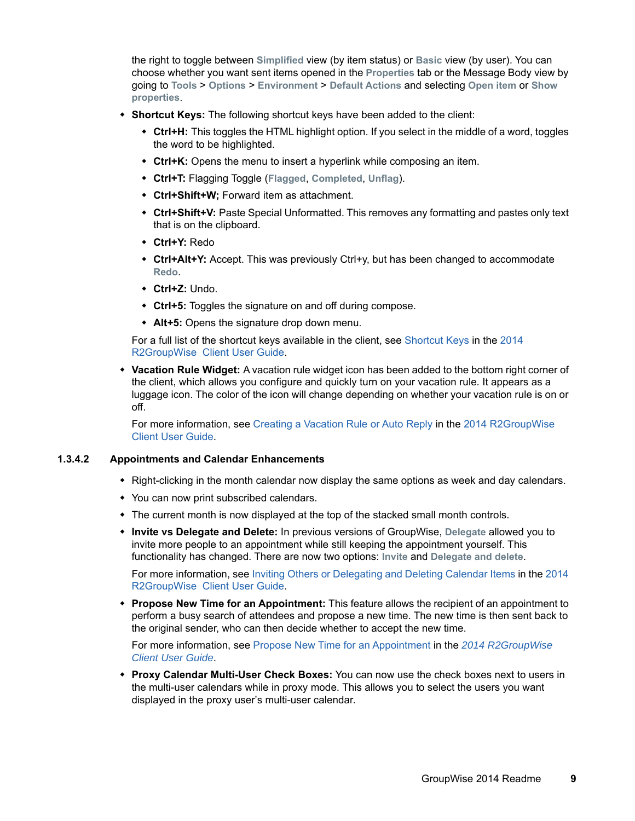the right to toggle between **Simplified** view (by item status) or **Basic** view (by user). You can choose whether you want sent items opened in the **Properties** tab or the Message Body view by going to **Tools** > **Options** > **Environment** > **Default Actions** and selecting **Open item** or **Show properties**.

- **Shortcut Keys:** The following shortcut keys have been added to the client:
	- **Ctrl+H:** This toggles the HTML highlight option. If you select in the middle of a word, toggles the word to be highlighted.
	- **Ctrl+K:** Opens the menu to insert a hyperlink while composing an item.
	- **Ctrl+T:** Flagging Toggle (**Flagged**, **Completed**, **Unflag**).
	- **Ctrl+Shift+W;** Forward item as attachment.
	- **Ctrl+Shift+V:** Paste Special Unformatted. This removes any formatting and pastes only text that is on the clipboard.
	- **Ctrl+Y:** Redo
	- **Ctrl+Alt+Y:** Accept. This was previously Ctrl+y, but has been changed to accommodate **Redo**.
	- **Ctrl+Z:** Undo.
	- **Ctrl+5:** Toggles the signature on and off during compose.
	- **Alt+5:** Opens the signature drop down menu.

For a full list of the shortcut keys available in the client, see [Shortcut Keys](https://www.novell.com/documentation/groupwise2014r2/pdfdoc/gw2014_guide_userwin/gw2014_guide_userwin.pdf#shortcutkeys) in the [2014](https://www.novell.com/documentation/groupwise2014r2/pdfdoc/gw2014_guide_userwin/gw2014_guide_userwin.pdf#frontpage)  R2GroupWise Client User Guide.

 **Vacation Rule Widget:** A vacation rule widget icon has been added to the bottom right corner of the client, which allows you configure and quickly turn on your vacation rule. It appears as a luggage icon. The color of the icon will change depending on whether your vacation rule is on or off.

For more information, see [Creating a Vacation Rule or Auto Reply](https://www.novell.com/documentation/groupwise2014r2/pdfdoc/gw2014_guide_userwin/gw2014_guide_userwin.pdf#rulescreatingvacation) in the [2014 R2GroupWise](https://www.novell.com/documentation/groupwise2014r2/pdfdoc/gw2014_guide_userwin/gw2014_guide_userwin.pdf#frontpage)  Client User Guide.

#### <span id="page-8-0"></span>**1.3.4.2 Appointments and Calendar Enhancements**

- Right-clicking in the month calendar now display the same options as week and day calendars.
- You can now print subscribed calendars.
- The current month is now displayed at the top of the stacked small month controls.
- **Invite vs Delegate and Delete:** In previous versions of GroupWise, **Delegate** allowed you to invite more people to an appointment while still keeping the appointment yourself. This functionality has changed. There are now two options: **Invite** and **Delegate and delete**.

For more information, see [Inviting Others or Delegating and Deleting Calendar Items](https://www.novell.com/documentation/groupwise2014r2/pdfdoc/gw2014_guide_userwin/gw2014_guide_userwin.pdf#calendarreceivingitemsdelegate) in the [2014](https://www.novell.com/documentation/groupwise2014r2/pdfdoc/gw2014_guide_userwin/gw2014_guide_userwin.pdf#frontpage)  R2GroupWise Client User Guide.

 **Propose New Time for an Appointment:** This feature allows the recipient of an appointment to perform a busy search of attendees and propose a new time. The new time is then sent back to the original sender, who can then decide whether to accept the new time.

For more information, see [Propose New Time for an Appointment](https://www.novell.com/documentation/groupwise2014r2/pdfdoc/gw2014_guide_userwin/gw2014_guide_userwin.pdf#calendarproposetime) in the *[2014 R2GroupWise](https://www.novell.com/documentation/groupwise2014r2/pdfdoc/gw2014_guide_userwin/gw2014_guide_userwin.pdf#frontpage)  Client User Guide*.

 **Proxy Calendar Multi-User Check Boxes:** You can now use the check boxes next to users in the multi-user calendars while in proxy mode. This allows you to select the users you want displayed in the proxy user's multi-user calendar.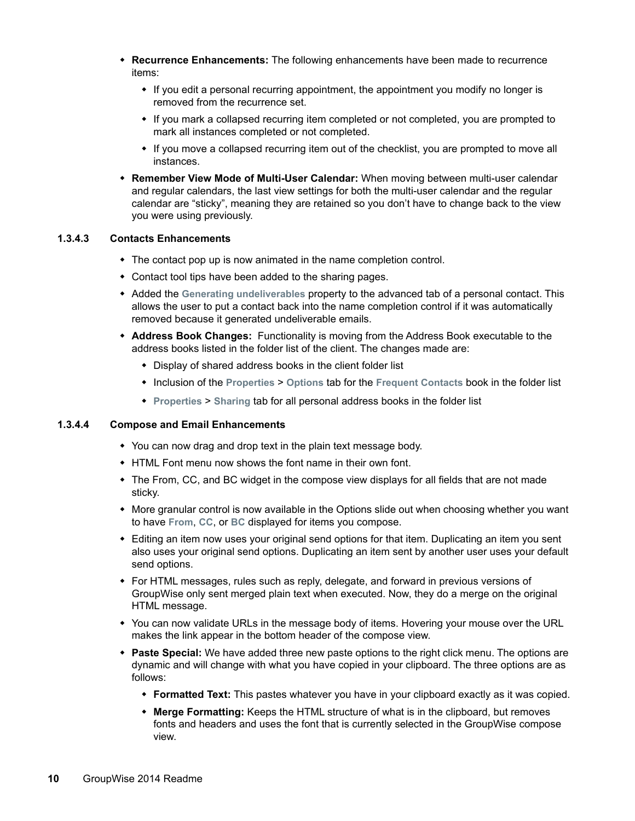- **Recurrence Enhancements:** The following enhancements have been made to recurrence items:
	- If you edit a personal recurring appointment, the appointment you modify no longer is removed from the recurrence set.
	- If you mark a collapsed recurring item completed or not completed, you are prompted to mark all instances completed or not completed.
	- If you move a collapsed recurring item out of the checklist, you are prompted to move all instances.
- **Remember View Mode of Multi-User Calendar:** When moving between multi-user calendar and regular calendars, the last view settings for both the multi-user calendar and the regular calendar are "sticky", meaning they are retained so you don't have to change back to the view you were using previously.

#### <span id="page-9-0"></span>**1.3.4.3 Contacts Enhancements**

- The contact pop up is now animated in the name completion control.
- Contact tool tips have been added to the sharing pages.
- Added the **Generating undeliverables** property to the advanced tab of a personal contact. This allows the user to put a contact back into the name completion control if it was automatically removed because it generated undeliverable emails.
- **Address Book Changes:** Functionality is moving from the Address Book executable to the address books listed in the folder list of the client. The changes made are:
	- Display of shared address books in the client folder list
	- Inclusion of the **Properties** > **Options** tab for the **Frequent Contacts** book in the folder list
	- **Properties** > **Sharing** tab for all personal address books in the folder list

#### <span id="page-9-1"></span>**1.3.4.4 Compose and Email Enhancements**

- You can now drag and drop text in the plain text message body.
- HTML Font menu now shows the font name in their own font.
- The From, CC, and BC widget in the compose view displays for all fields that are not made sticky.
- More granular control is now available in the Options slide out when choosing whether you want to have **From**, **CC**, or **BC** displayed for items you compose.
- Editing an item now uses your original send options for that item. Duplicating an item you sent also uses your original send options. Duplicating an item sent by another user uses your default send options.
- For HTML messages, rules such as reply, delegate, and forward in previous versions of GroupWise only sent merged plain text when executed. Now, they do a merge on the original HTML message.
- You can now validate URLs in the message body of items. Hovering your mouse over the URL makes the link appear in the bottom header of the compose view.
- **Paste Special:** We have added three new paste options to the right click menu. The options are dynamic and will change with what you have copied in your clipboard. The three options are as follows:
	- **Formatted Text:** This pastes whatever you have in your clipboard exactly as it was copied.
	- **Merge Formatting:** Keeps the HTML structure of what is in the clipboard, but removes fonts and headers and uses the font that is currently selected in the GroupWise compose view.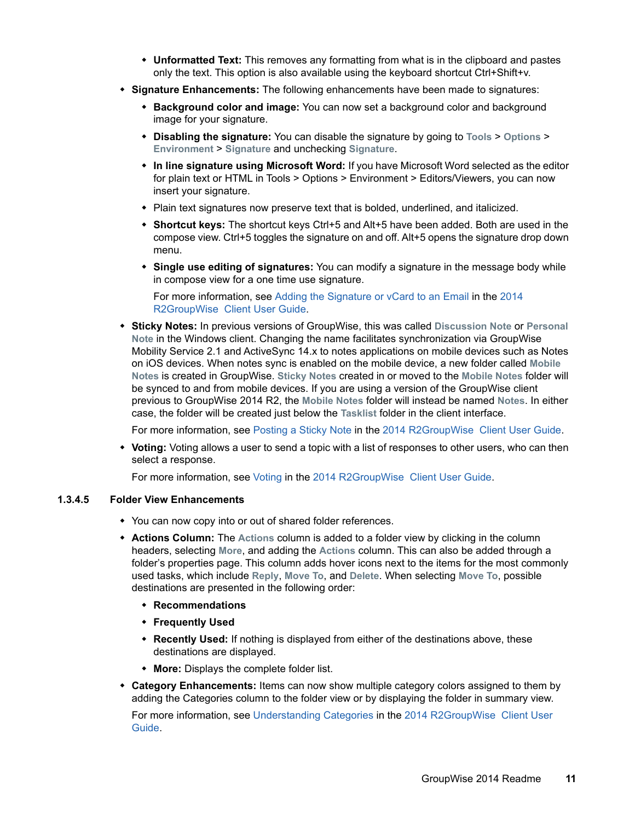- **Unformatted Text:** This removes any formatting from what is in the clipboard and pastes only the text. This option is also available using the keyboard shortcut Ctrl+Shift+v.
- **Signature Enhancements:** The following enhancements have been made to signatures:
	- **Background color and image:** You can now set a background color and background image for your signature.
	- **Disabling the signature:** You can disable the signature by going to **Tools** > **Options** > **Environment** > **Signature** and unchecking **Signature**.
	- **In line signature using Microsoft Word:** If you have Microsoft Word selected as the editor for plain text or HTML in Tools > Options > Environment > Editors/Viewers, you can now insert your signature.
	- Plain text signatures now preserve text that is bolded, underlined, and italicized.
	- **Shortcut keys:** The shortcut keys Ctrl+5 and Alt+5 have been added. Both are used in the compose view. Ctrl+5 toggles the signature on and off. Alt+5 opens the signature drop down menu.
	- **Single use editing of signatures:** You can modify a signature in the message body while in compose view for a one time use signature.

For more information, see [Adding the Signature or vCard to an Email](https://www.novell.com/documentation/groupwise2014r2/pdfdoc/gw2014_guide_userwin/gw2014_guide_userwin.pdf#Aan99dr) in the [2014](https://www.novell.com/documentation/groupwise2014r2/pdfdoc/gw2014_guide_userwin/gw2014_guide_userwin.pdf#frontpage)  R2GroupWise Client User Guide.

 **Sticky Notes:** In previous versions of GroupWise, this was called **Discussion Note** or **Personal Note** in the Windows client. Changing the name facilitates synchronization via GroupWise Mobility Service 2.1 and ActiveSync 14.x to notes applications on mobile devices such as Notes on iOS devices. When notes sync is enabled on the mobile device, a new folder called **Mobile Notes** is created in GroupWise. **Sticky Notes** created in or moved to the **Mobile Notes** folder will be synced to and from mobile devices. If you are using a version of the GroupWise client previous to GroupWise 2014 R2, the **Mobile Notes** folder will instead be named **Notes**. In either case, the folder will be created just below the **Tasklist** folder in the client interface.

For more information, see [Posting a Sticky Note](https://www.novell.com/documentation/groupwise2014r2/pdfdoc/gw2014_guide_userwin/gw2014_guide_userwin.pdf#emailsendingdiscussionnote) in the [2014 R2GroupWise Client User Guide](https://www.novell.com/documentation/groupwise2014r2/pdfdoc/gw2014_guide_userwin/gw2014_guide_userwin.pdf#frontpage).

 **Voting:** Voting allows a user to send a topic with a list of responses to other users, who can then select a response.

For more information, see [Voting](https://www.novell.com/documentation/groupwise2014r2/pdfdoc/gw2014_guide_userwin/gw2014_guide_userwin.pdf#b1eu8yt3) in the [2014 R2GroupWise Client User Guide](https://www.novell.com/documentation/groupwise2014r2/pdfdoc/gw2014_guide_userwin/gw2014_guide_userwin.pdf#frontpage).

#### <span id="page-10-0"></span>**1.3.4.5 Folder View Enhancements**

- You can now copy into or out of shared folder references.
- **Actions Column:** The **Actions** column is added to a folder view by clicking in the column headers, selecting **More**, and adding the **Actions** column. This can also be added through a folder's properties page. This column adds hover icons next to the items for the most commonly used tasks, which include **Reply**, **Move To**, and **Delete**. When selecting **Move To**, possible destinations are presented in the following order:
	- **Recommendations**
	- **Frequently Used**
	- **Recently Used:** If nothing is displayed from either of the destinations above, these destinations are displayed.
	- **More:** Displays the complete folder list.
- **Category Enhancements:** Items can now show multiple category colors assigned to them by adding the Categories column to the folder view or by displaying the folder in summary view.

For more information, see [Understanding Categories](https://www.novell.com/documentation/groupwise2014r2/pdfdoc/gw2014_guide_userwin/gw2014_guide_userwin.pdf#getorgcategoriesunderstanding) in the [2014 R2GroupWise Client User](https://www.novell.com/documentation/groupwise2014r2/pdfdoc/gw2014_guide_userwin/gw2014_guide_userwin.pdf#frontpage)  Guide.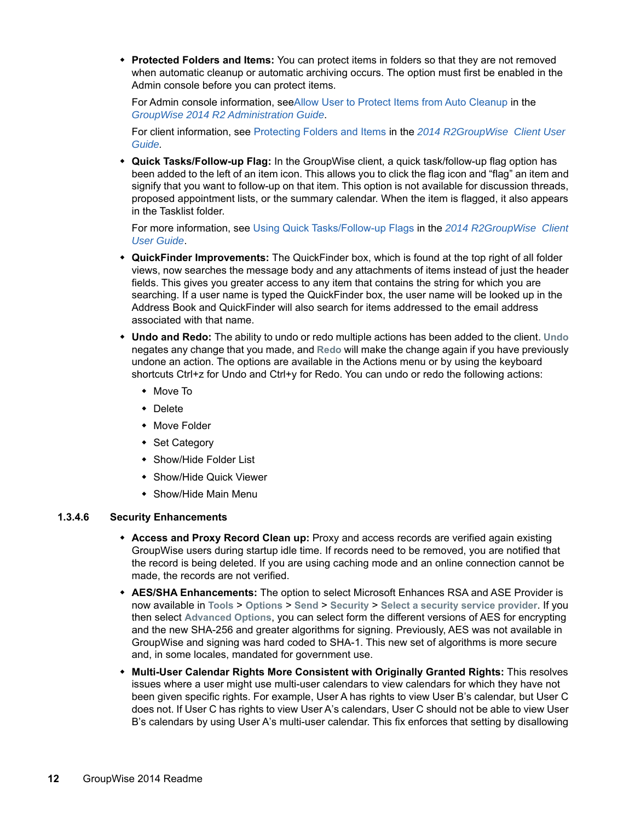**Protected Folders and Items:** You can protect items in folders so that they are not removed when automatic cleanup or automatic archiving occurs. The option must first be enabled in the Admin console before you can protect items.

For Admin console information, see[Allow User to Protect Items from Auto Cleanup](https://www.novell.com/documentation/groupwise2014r2/pdfdoc/gw2014_guide_admin/gw2014_guide_admin.pdf#b1hq4pra) in the *[GroupWise 2014 R2 Administration Guide](https://www.novell.com/documentation/groupwise2014r2/pdfdoc/gw2014_guide_admin/gw2014_guide_admin.pdf#adminfront)*.

For client information, see [Protecting Folders and Items](https://www.novell.com/documentation/groupwise2014r2/pdfdoc/gw2014_guide_userwin/gw2014_guide_userwin.pdf#b1etqka7) in the *[2014 R2GroupWise Client User](https://www.novell.com/documentation/groupwise2014r2/pdfdoc/gw2014_guide_userwin/gw2014_guide_userwin.pdf#frontpage)  Guide.*

 **Quick Tasks/Follow-up Flag:** In the GroupWise client, a quick task/follow-up flag option has been added to the left of an item icon. This allows you to click the flag icon and "flag" an item and signify that you want to follow-up on that item. This option is not available for discussion threads, proposed appointment lists, or the summary calendar. When the item is flagged, it also appears in the Tasklist folder.

For more information, see [Using Quick Tasks/Follow-up Flags](https://www.novell.com/documentation/groupwise2014r2/pdfdoc/gw2014_guide_userwin/gw2014_guide_userwin.pdf#tasksusingflags) in the *[2014 R2GroupWise Client](https://www.novell.com/documentation/groupwise2014r2/pdfdoc/gw2014_guide_userwin/gw2014_guide_userwin.pdf#frontpage)  User Guide*.

- **QuickFinder Improvements:** The QuickFinder box, which is found at the top right of all folder views, now searches the message body and any attachments of items instead of just the header fields. This gives you greater access to any item that contains the string for which you are searching. If a user name is typed the QuickFinder box, the user name will be looked up in the Address Book and QuickFinder will also search for items addressed to the email address associated with that name.
- **Undo and Redo:** The ability to undo or redo multiple actions has been added to the client. **Undo** negates any change that you made, and **Redo** will make the change again if you have previously undone an action. The options are available in the Actions menu or by using the keyboard shortcuts Ctrl+z for Undo and Ctrl+y for Redo. You can undo or redo the following actions:
	- Move To
	- Delete
	- ◆ Move Folder
	- Set Category
	- Show/Hide Folder List
	- Show/Hide Quick Viewer
	- Show/Hide Main Menu

#### <span id="page-11-0"></span>**1.3.4.6 Security Enhancements**

- **Access and Proxy Record Clean up:** Proxy and access records are verified again existing GroupWise users during startup idle time. If records need to be removed, you are notified that the record is being deleted. If you are using caching mode and an online connection cannot be made, the records are not verified.
- **AES/SHA Enhancements:** The option to select Microsoft Enhances RSA and ASE Provider is now available in **Tools** > **Options** > **Send** > **Security** > **Select a security service provider**. If you then select **Advanced Options**, you can select form the different versions of AES for encrypting and the new SHA-256 and greater algorithms for signing. Previously, AES was not available in GroupWise and signing was hard coded to SHA-1. This new set of algorithms is more secure and, in some locales, mandated for government use.
- **Multi-User Calendar Rights More Consistent with Originally Granted Rights:** This resolves issues where a user might use multi-user calendars to view calendars for which they have not been given specific rights. For example, User A has rights to view User B's calendar, but User C does not. If User C has rights to view User A's calendars, User C should not be able to view User B's calendars by using User A's multi-user calendar. This fix enforces that setting by disallowing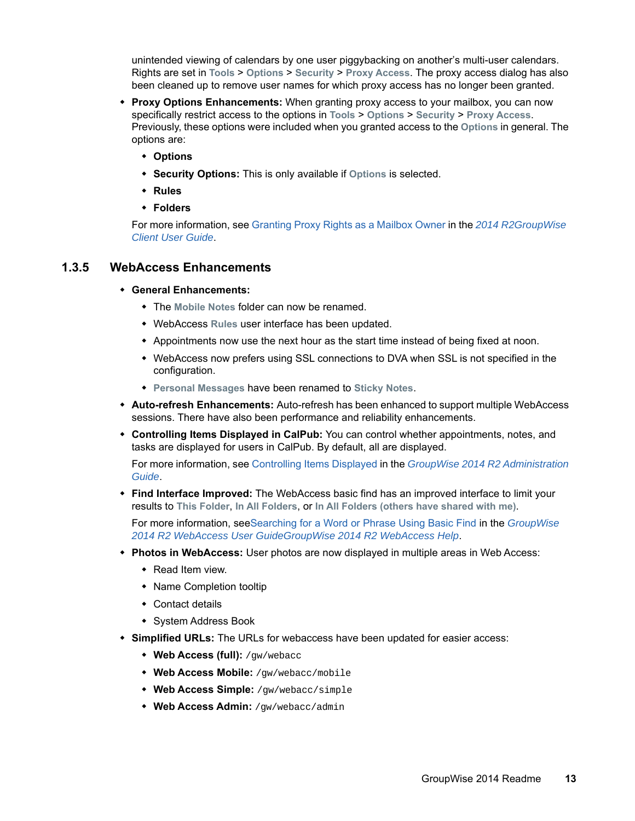unintended viewing of calendars by one user piggybacking on another's multi-user calendars. Rights are set in **Tools** > **Options** > **Security** > **Proxy Access**. The proxy access dialog has also been cleaned up to remove user names for which proxy access has no longer been granted.

- **Proxy Options Enhancements:** When granting proxy access to your mailbox, you can now specifically restrict access to the options in **Tools** > **Options** > **Security** > **Proxy Access**. Previously, these options were included when you granted access to the **Options** in general. The options are:
	- **Options**
	- **Security Options:** This is only available if **Options** is selected.
	- **Rules**
	- **Folders**

For more information, see [Granting Proxy Rights as a Mailbox Owner](https://www.novell.com/documentation/groupwise2014r2/pdfdoc/gw2014_guide_userwin/gw2014_guide_userwin.pdf#proxygrantingrights) in the *[2014 R2GroupWise](https://www.novell.com/documentation/groupwise2014r2/pdfdoc/gw2014_guide_userwin/gw2014_guide_userwin.pdf#frontpage)  Client User Guide*.

#### <span id="page-12-0"></span>**1.3.5 WebAccess Enhancements**

- **General Enhancements:** 
	- The **Mobile Notes** folder can now be renamed.
	- WebAccess **Rules** user interface has been updated.
	- Appointments now use the next hour as the start time instead of being fixed at noon.
	- WebAccess now prefers using SSL connections to DVA when SSL is not specified in the configuration.
	- **Personal Messages** have been renamed to **Sticky Notes**.
- **Auto-refresh Enhancements:** Auto-refresh has been enhanced to support multiple WebAccess sessions. There have also been performance and reliability enhancements.
- **Controlling Items Displayed in CalPub:** You can control whether appointments, notes, and tasks are displayed for users in CalPub. By default, all are displayed.

For more information, see [Controlling Items Displayed](https://www.novell.com/documentation/groupwise2014r2/pdfdoc/gw2014_guide_admin/gw2014_guide_admin.pdf#b1hrmx49) in the *[GroupWise 2014 R2 Administration](https://www.novell.com/documentation/groupwise2014r2/pdfdoc/gw2014_guide_admin/gw2014_guide_admin.pdf#adminfront)  Guide*.

 **Find Interface Improved:** The WebAccess basic find has an improved interface to limit your results to **This Folder**, **In All Folders**, or **In All Folders (others have shared with me)**.

For more information, se[eSearching for a Word or Phrase Using Basic Find](https://www.novell.com/documentation/groupwise2014r2/pdfdoc/gw2014_guide_userweb/gw2014_guide_userweb.pdf#searchingwithquickfind) in the *[GroupWise](https://www.novell.com/documentation/groupwise2014r2/pdfdoc/gw2014_guide_userweb/gw2014_guide_userweb.pdf#frontpage)  2014 R2 WebAccess User GuideGroupWise 2014 R2 WebAccess Help*.

- **Photos in WebAccess:** User photos are now displayed in multiple areas in Web Access:
	- Read Item view.
	- Name Completion tooltip
	- Contact details
	- System Address Book
- **Simplified URLs:** The URLs for webaccess have been updated for easier access:
	- **Web Access (full):** /gw/webacc
	- **Web Access Mobile:** /gw/webacc/mobile
	- **Web Access Simple:** /gw/webacc/simple
	- **Web Access Admin:** /gw/webacc/admin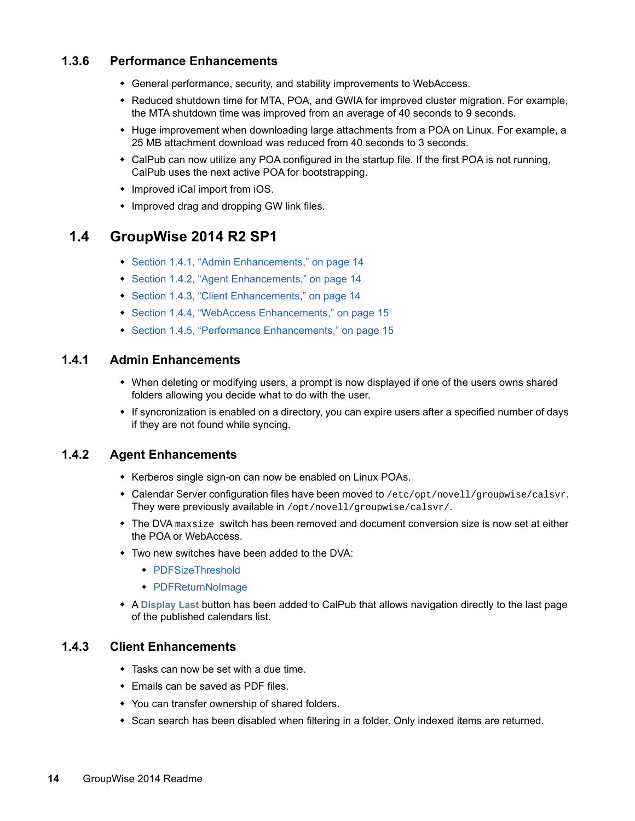#### <span id="page-13-1"></span>**1.3.6 Performance Enhancements**

- General performance, security, and stability improvements to WebAccess.
- Reduced shutdown time for MTA, POA, and GWIA for improved cluster migration. For example, the MTA shutdown time was improved from an average of 40 seconds to 9 seconds.
- Huge improvement when downloading large attachments from a POA on Linux. For example, a 25 MB attachment download was reduced from 40 seconds to 3 seconds.
- CalPub can now utilize any POA configured in the startup file. If the first POA is not running, CalPub uses the next active POA for bootstrapping.
- Improved iCal import from iOS.
- Improved drag and dropping GW link files.

### <span id="page-13-0"></span>**1.4 GroupWise 2014 R2 SP1**

- [Section 1.4.1, "Admin Enhancements," on page 14](#page-13-2)
- [Section 1.4.2, "Agent Enhancements," on page 14](#page-13-3)
- [Section 1.4.3, "Client Enhancements," on page 14](#page-13-4)
- [Section 1.4.4, "WebAccess Enhancements," on page 15](#page-14-2)
- [Section 1.4.5, "Performance Enhancements," on page 15](#page-14-3)

#### <span id="page-13-2"></span>**1.4.1 Admin Enhancements**

- When deleting or modifying users, a prompt is now displayed if one of the users owns shared folders allowing you decide what to do with the user.
- If syncronization is enabled on a directory, you can expire users after a specified number of days if they are not found while syncing.

#### <span id="page-13-3"></span>**1.4.2 Agent Enhancements**

- Kerberos single sign-on can now be enabled on Linux POAs.
- $\bullet$  Calendar Server configuration files have been moved to /etc/opt/novell/groupwise/calsvr. They were previously available in /opt/novell/groupwise/calsvr/.
- $\bullet$  The DVA maxsize switch has been removed and document conversion size is now set at either the POA or WebAccess.
- Two new switches have been added to the DVA:
	- ◆ [PDFSizeThreshold](https://www.novell.com/documentation/groupwise2014r2/pdfdoc/gw2014_guide_admin/gw2014_guide_admin.pdf#b1ljgmjo)
	- [PDFReturnNoImage](https://www.novell.com/documentation/groupwise2014r2/pdfdoc/gw2014_guide_admin/gw2014_guide_admin.pdf#b1ljgmjp)
- A **Display Last** button has been added to CalPub that allows navigation directly to the last page of the published calendars list.

#### <span id="page-13-4"></span>**1.4.3 Client Enhancements**

- Tasks can now be set with a due time.
- Emails can be saved as PDF files.
- You can transfer ownership of shared folders.
- Scan search has been disabled when filtering in a folder. Only indexed items are returned.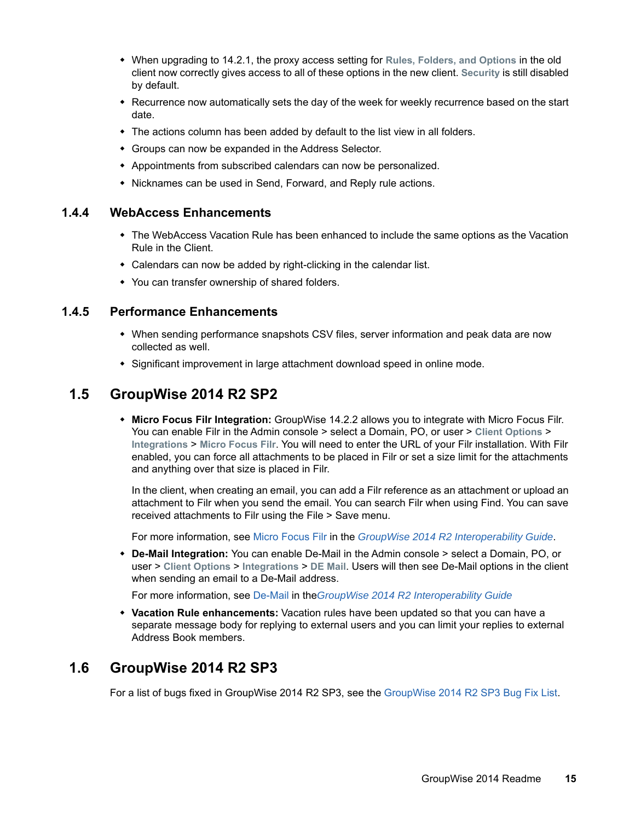- When upgrading to 14.2.1, the proxy access setting for **Rules, Folders, and Options** in the old client now correctly gives access to all of these options in the new client. **Security** is still disabled by default.
- Recurrence now automatically sets the day of the week for weekly recurrence based on the start date.
- The actions column has been added by default to the list view in all folders.
- Groups can now be expanded in the Address Selector.
- Appointments from subscribed calendars can now be personalized.
- Nicknames can be used in Send, Forward, and Reply rule actions.

#### <span id="page-14-2"></span>**1.4.4 WebAccess Enhancements**

- The WebAccess Vacation Rule has been enhanced to include the same options as the Vacation Rule in the Client.
- Calendars can now be added by right-clicking in the calendar list.
- You can transfer ownership of shared folders.

#### <span id="page-14-3"></span>**1.4.5 Performance Enhancements**

- When sending performance snapshots CSV files, server information and peak data are now collected as well.
- Significant improvement in large attachment download speed in online mode.

## <span id="page-14-0"></span>**1.5 GroupWise 2014 R2 SP2**

 **Micro Focus Filr Integration:** GroupWise 14.2.2 allows you to integrate with Micro Focus Filr. You can enable Filr in the Admin console > select a Domain, PO, or user > **Client Options** > **Integrations** > **Micro Focus Filr**. You will need to enter the URL of your Filr installation. With Filr enabled, you can force all attachments to be placed in Filr or set a size limit for the attachments and anything over that size is placed in Filr.

In the client, when creating an email, you can add a Filr reference as an attachment or upload an attachment to Filr when you send the email. You can search Filr when using Find. You can save received attachments to Filr using the File > Save menu.

For more information, see [Micro Focus Filr](https://www.novell.com/documentation/groupwise2014r2/pdfdoc/gw2014_guide_interop/gw2014_guide_interop.pdf#interopfilr) in the *[GroupWise 2014 R2 Interoperability Guide](https://www.novell.com/documentation/groupwise2014r2/pdfdoc/gw2014_guide_interop/gw2014_guide_interop.pdf#interopfront)*.

 **De-Mail Integration:** You can enable De-Mail in the Admin console > select a Domain, PO, or user > **Client Options** > **Integrations** > **DE Mail**. Users will then see De-Mail options in the client when sending an email to a De-Mail address.

For more information, see [De-Mail](https://www.novell.com/documentation/groupwise2014r2/pdfdoc/gw2014_guide_interop/gw2014_guide_interop.pdf#interopdemail) in the*[GroupWise 2014 R2 Interoperability Guide](https://www.novell.com/documentation/groupwise2014r2/pdfdoc/gw2014_guide_interop/gw2014_guide_interop.pdf#interopfront)*

 **Vacation Rule enhancements:** Vacation rules have been updated so that you can have a separate message body for replying to external users and you can limit your replies to external Address Book members.

## <span id="page-14-1"></span>**1.6 GroupWise 2014 R2 SP3**

For a list of bugs fixed in GroupWise 2014 R2 SP3, see the [GroupWise 2014 R2 SP3 Bug Fix List.](https://www.novell.com/documentation/groupwise2014r2/gw2014r2_bugfixlist/gw2014_r2_sp3_bugfixlist.html)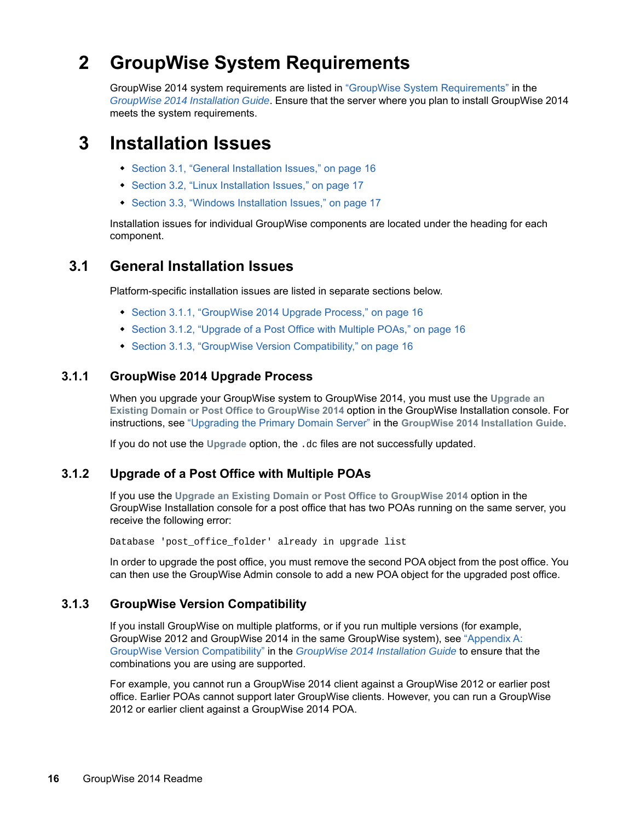## **2 GroupWise System Requirements**

GroupWise 2014 system requirements are listed in "GroupWise System Requirements" in the *[GroupWise 2014 Installation Guide](https://www.novell.com/documentation/groupwise2014/gw2014_guide_install/data/inst_front.html)*. Ensure that the server where you plan to install GroupWise 2014 meets the system requirements.

## **3 Installation Issues**

- [Section 3.1, "General Installation Issues," on page 16](#page-15-2)
- [Section 3.2, "Linux Installation Issues," on page 17](#page-16-0)
- ◆ [Section 3.3, "Windows Installation Issues," on page 17](#page-16-1)

Installation issues for individual GroupWise components are located under the heading for each component.

## <span id="page-15-2"></span>**3.1 General Installation Issues**

Platform-specific installation issues are listed in separate sections below.

- [Section 3.1.1, "GroupWise 2014 Upgrade Process," on page 16](#page-15-3)
- [Section 3.1.2, "Upgrade of a Post Office with Multiple POAs," on page 16](#page-15-0)
- [Section 3.1.3, "GroupWise Version Compatibility," on page 16](#page-15-1)

#### <span id="page-15-3"></span>**3.1.1 GroupWise 2014 Upgrade Process**

When you upgrade your GroupWise system to GroupWise 2014, you must use the **Upgrade an Existing Domain or Post Office to GroupWise 2014** option in the GroupWise Installation console. For instructions, see "Upgrading the Primary Domain Server" in the **[GroupWise 2014 Installation Guide](https://www.novell.com/documentation/groupwise2014/gw2014_guide_install/data/inst_front.html)**.

If you do not use the **Upgrade** option, the .dc files are not successfully updated.

#### <span id="page-15-0"></span>**3.1.2 Upgrade of a Post Office with Multiple POAs**

If you use the **Upgrade an Existing Domain or Post Office to GroupWise 2014** option in the GroupWise Installation console for a post office that has two POAs running on the same server, you receive the following error:

Database 'post\_office\_folder' already in upgrade list

In order to upgrade the post office, you must remove the second POA object from the post office. You can then use the GroupWise Admin console to add a new POA object for the upgraded post office.

#### <span id="page-15-1"></span>**3.1.3 GroupWise Version Compatibility**

If you install GroupWise on multiple platforms, or if you run multiple versions (for example, GroupWise 2012 and GroupWise 2014 in the same GroupWise system), see "Appendix A: GroupWise Version Compatibility" in the *[GroupWise 2014 Installation Guide](https://www.novell.com/documentation/groupwise2014/gw2014_guide_install/data/inst_front.html)* to ensure that the combinations you are using are supported.

For example, you cannot run a GroupWise 2014 client against a GroupWise 2012 or earlier post office. Earlier POAs cannot support later GroupWise clients. However, you can run a GroupWise 2012 or earlier client against a GroupWise 2014 POA.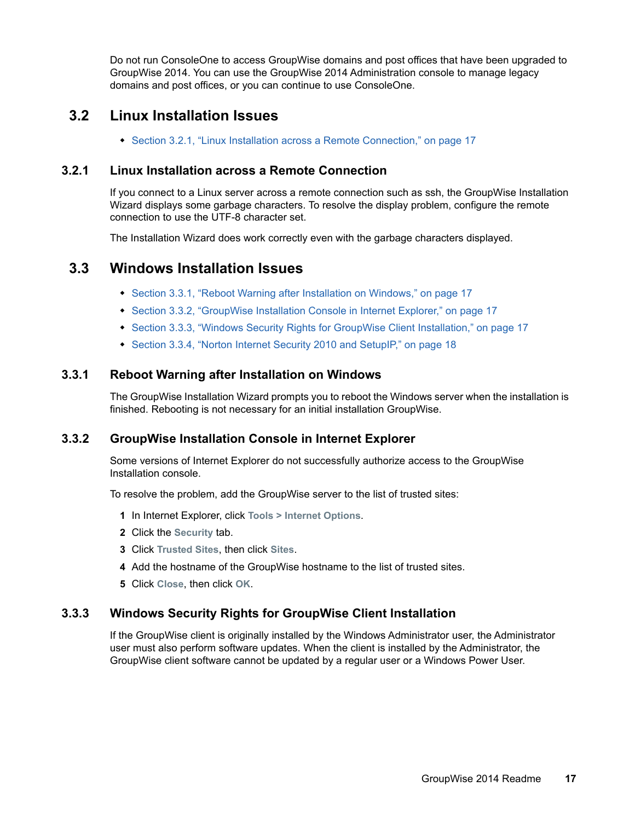Do not run ConsoleOne to access GroupWise domains and post offices that have been upgraded to GroupWise 2014. You can use the GroupWise 2014 Administration console to manage legacy domains and post offices, or you can continue to use ConsoleOne.

## <span id="page-16-0"></span>**3.2 Linux Installation Issues**

[Section 3.2.1, "Linux Installation across a Remote Connection," on page 17](#page-16-2)

#### <span id="page-16-2"></span>**3.2.1 Linux Installation across a Remote Connection**

If you connect to a Linux server across a remote connection such as ssh, the GroupWise Installation Wizard displays some garbage characters. To resolve the display problem, configure the remote connection to use the UTF-8 character set.

The Installation Wizard does work correctly even with the garbage characters displayed.

## <span id="page-16-1"></span>**3.3 Windows Installation Issues**

- [Section 3.3.1, "Reboot Warning after Installation on Windows," on page 17](#page-16-3)
- [Section 3.3.2, "GroupWise Installation Console in Internet Explorer," on page 17](#page-16-4)
- [Section 3.3.3, "Windows Security Rights for GroupWise Client Installation," on page 17](#page-16-5)
- [Section 3.3.4, "Norton Internet Security 2010 and SetupIP," on page 18](#page-17-0)

#### <span id="page-16-3"></span>**3.3.1 Reboot Warning after Installation on Windows**

The GroupWise Installation Wizard prompts you to reboot the Windows server when the installation is finished. Rebooting is not necessary for an initial installation GroupWise.

#### <span id="page-16-4"></span>**3.3.2 GroupWise Installation Console in Internet Explorer**

Some versions of Internet Explorer do not successfully authorize access to the GroupWise Installation console.

To resolve the problem, add the GroupWise server to the list of trusted sites:

- **1** In Internet Explorer, click **Tools > Internet Options**.
- **2** Click the **Security** tab.
- **3** Click **Trusted Sites**, then click **Sites**.
- **4** Add the hostname of the GroupWise hostname to the list of trusted sites.
- **5** Click **Close**, then click **OK**.

#### <span id="page-16-5"></span>**3.3.3 Windows Security Rights for GroupWise Client Installation**

If the GroupWise client is originally installed by the Windows Administrator user, the Administrator user must also perform software updates. When the client is installed by the Administrator, the GroupWise client software cannot be updated by a regular user or a Windows Power User.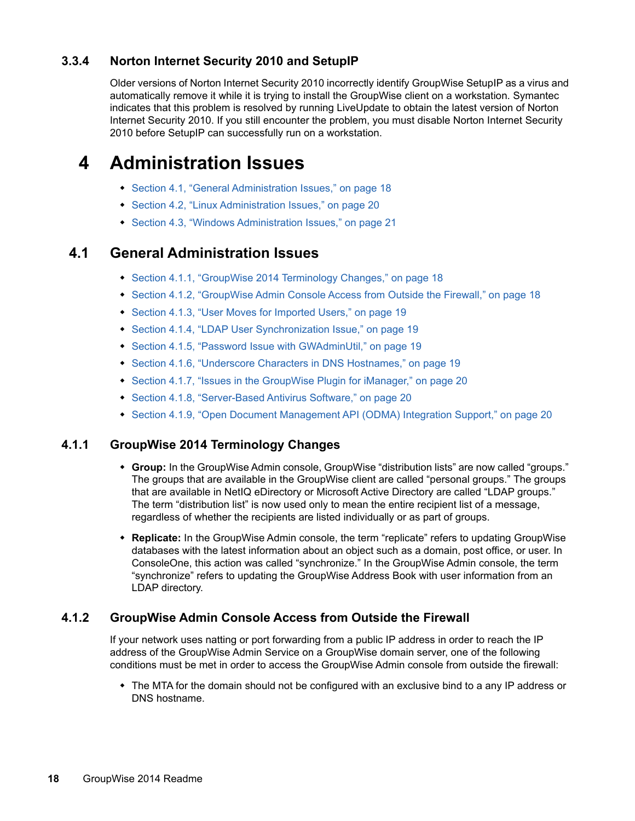### <span id="page-17-0"></span>**3.3.4 Norton Internet Security 2010 and SetupIP**

Older versions of Norton Internet Security 2010 incorrectly identify GroupWise SetupIP as a virus and automatically remove it while it is trying to install the GroupWise client on a workstation. Symantec indicates that this problem is resolved by running LiveUpdate to obtain the latest version of Norton Internet Security 2010. If you still encounter the problem, you must disable Norton Internet Security 2010 before SetupIP can successfully run on a workstation.

## **4 Administration Issues**

- [Section 4.1, "General Administration Issues," on page 18](#page-17-1)
- [Section 4.2, "Linux Administration Issues," on page 20](#page-19-3)
- [Section 4.3, "Windows Administration Issues," on page 21](#page-20-0)

### <span id="page-17-1"></span>**4.1 General Administration Issues**

- [Section 4.1.1, "GroupWise 2014 Terminology Changes," on page 18](#page-17-2)
- [Section 4.1.2, "GroupWise Admin Console Access from Outside the Firewall," on page 18](#page-17-3)
- [Section 4.1.3, "User Moves for Imported Users," on page 19](#page-18-3)
- [Section 4.1.4, "LDAP User Synchronization Issue," on page 19](#page-18-0)
- [Section 4.1.5, "Password Issue with GWAdminUtil," on page 19](#page-18-1)
- [Section 4.1.6, "Underscore Characters in DNS Hostnames," on page](#page-18-2) 19
- [Section 4.1.7, "Issues in the GroupWise Plugin for iManager," on page 20](#page-19-0)
- [Section 4.1.8, "Server-Based Antivirus Software," on page 20](#page-19-1)
- [Section 4.1.9, "Open Document Management API \(ODMA\) Integration Support," on page 20](#page-19-2)

#### <span id="page-17-2"></span>**4.1.1 GroupWise 2014 Terminology Changes**

- **Group:** In the GroupWise Admin console, GroupWise "distribution lists" are now called "groups." The groups that are available in the GroupWise client are called "personal groups." The groups that are available in NetIQ eDirectory or Microsoft Active Directory are called "LDAP groups." The term "distribution list" is now used only to mean the entire recipient list of a message, regardless of whether the recipients are listed individually or as part of groups.
- **Replicate:** In the GroupWise Admin console, the term "replicate" refers to updating GroupWise databases with the latest information about an object such as a domain, post office, or user. In ConsoleOne, this action was called "synchronize." In the GroupWise Admin console, the term "synchronize" refers to updating the GroupWise Address Book with user information from an LDAP directory.

#### <span id="page-17-3"></span>**4.1.2 GroupWise Admin Console Access from Outside the Firewall**

If your network uses natting or port forwarding from a public IP address in order to reach the IP address of the GroupWise Admin Service on a GroupWise domain server, one of the following conditions must be met in order to access the GroupWise Admin console from outside the firewall:

• The MTA for the domain should not be configured with an exclusive bind to a any IP address or DNS hostname.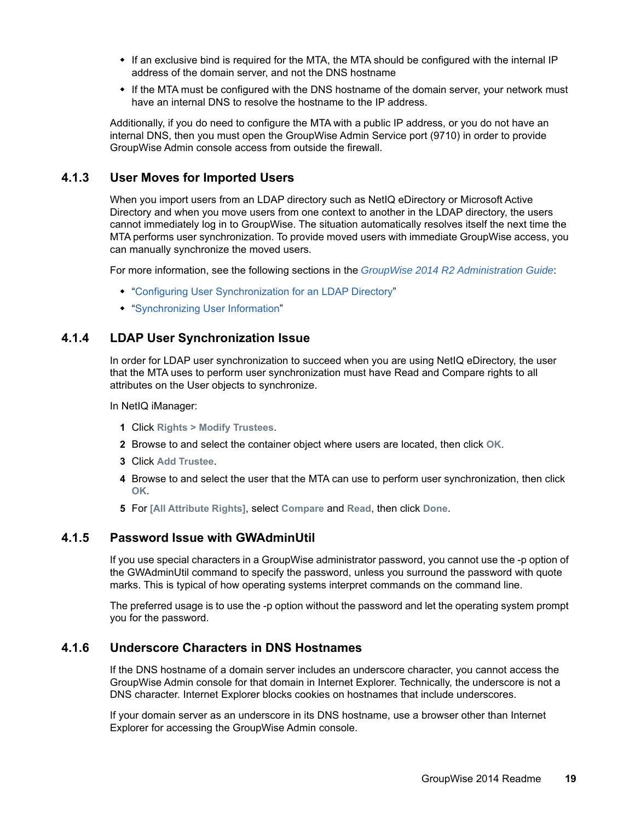- If an exclusive bind is required for the MTA, the MTA should be configured with the internal IP address of the domain server, and not the DNS hostname
- If the MTA must be configured with the DNS hostname of the domain server, your network must have an internal DNS to resolve the hostname to the IP address.

Additionally, if you do need to configure the MTA with a public IP address, or you do not have an internal DNS, then you must open the GroupWise Admin Service port (9710) in order to provide GroupWise Admin console access from outside the firewall.

#### <span id="page-18-3"></span>**4.1.3 User Moves for Imported Users**

When you import users from an LDAP directory such as NetIQ eDirectory or Microsoft Active Directory and when you move users from one context to another in the LDAP directory, the users cannot immediately log in to GroupWise. The situation automatically resolves itself the next time the MTA performs user synchronization. To provide moved users with immediate GroupWise access, you can manually synchronize the moved users.

For more information, see the following sections in the *[GroupWise 2014 R2 Administration Guide](https://www.novell.com/documentation/groupwise2014r2/pdfdoc/gw2014_guide_admin/gw2014_guide_admin.pdf#adminfront)*:

- ["Configuring User Synchronization for an LDAP Directory"](https://www.novell.com/documentation/groupwise2014r2/pdfdoc/gw2014_guide_admin/gw2014_guide_admin.pdf#b19hch7g)
- ["Synchronizing User Information"](https://www.novell.com/documentation/groupwise2014r2/pdfdoc/gw2014_guide_admin/gw2014_guide_admin.pdf#admusermgtsync)

#### <span id="page-18-0"></span>**4.1.4 LDAP User Synchronization Issue**

In order for LDAP user synchronization to succeed when you are using NetIQ eDirectory, the user that the MTA uses to perform user synchronization must have Read and Compare rights to all attributes on the User objects to synchronize.

In NetIQ iManager:

- **1** Click **Rights > Modify Trustees**.
- **2** Browse to and select the container object where users are located, then click **OK**.
- **3** Click **Add Trustee**.
- **4** Browse to and select the user that the MTA can use to perform user synchronization, then click **OK**.
- **5** For **[All Attribute Rights]**, select **Compare** and **Read**, then click **Done**.

#### <span id="page-18-1"></span>**4.1.5 Password Issue with GWAdminUtil**

If you use special characters in a GroupWise administrator password, you cannot use the -p option of the GWAdminUtil command to specify the password, unless you surround the password with quote marks. This is typical of how operating systems interpret commands on the command line.

The preferred usage is to use the -p option without the password and let the operating system prompt you for the password.

#### <span id="page-18-2"></span>**4.1.6 Underscore Characters in DNS Hostnames**

If the DNS hostname of a domain server includes an underscore character, you cannot access the GroupWise Admin console for that domain in Internet Explorer. Technically, the underscore is not a DNS character. Internet Explorer blocks cookies on hostnames that include underscores.

If your domain server as an underscore in its DNS hostname, use a browser other than Internet Explorer for accessing the GroupWise Admin console.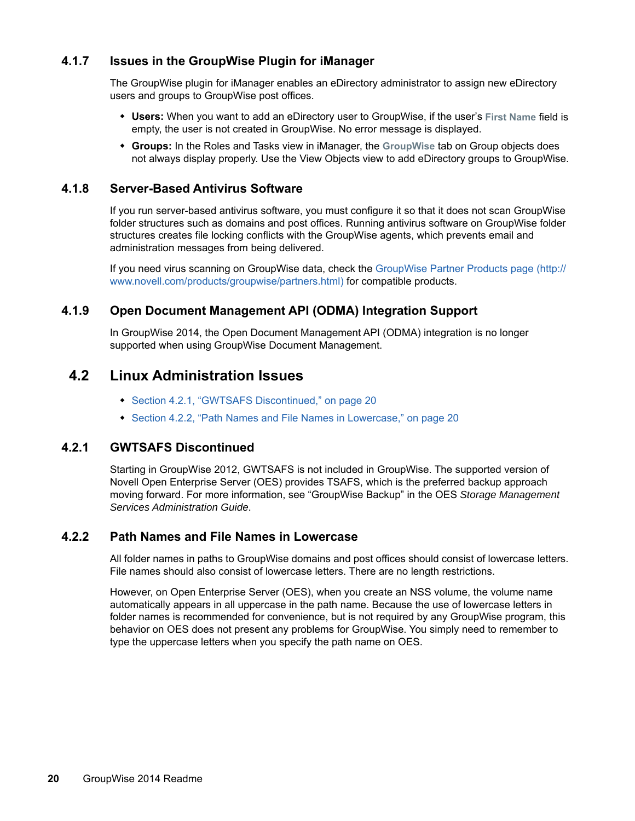#### <span id="page-19-0"></span>**4.1.7 Issues in the GroupWise Plugin for iManager**

The GroupWise plugin for iManager enables an eDirectory administrator to assign new eDirectory users and groups to GroupWise post offices.

- **Users:** When you want to add an eDirectory user to GroupWise, if the user's **First Name** field is empty, the user is not created in GroupWise. No error message is displayed.
- **Groups:** In the Roles and Tasks view in iManager, the **GroupWise** tab on Group objects does not always display properly. Use the View Objects view to add eDirectory groups to GroupWise.

#### <span id="page-19-1"></span>**4.1.8 Server-Based Antivirus Software**

If you run server-based antivirus software, you must configure it so that it does not scan GroupWise folder structures such as domains and post offices. Running antivirus software on GroupWise folder structures creates file locking conflicts with the GroupWise agents, which prevents email and administration messages from being delivered.

If you need virus scanning on GroupWise data, check the [GroupWise Partner Products page](http://www.novell.com/products/groupwise/partners.html) (http:// www.novell.com/products/groupwise/partners.html) for compatible products.

#### <span id="page-19-2"></span>**4.1.9 Open Document Management API (ODMA) Integration Support**

In GroupWise 2014, the Open Document Management API (ODMA) integration is no longer supported when using GroupWise Document Management.

#### <span id="page-19-3"></span>**4.2 Linux Administration Issues**

- [Section 4.2.1, "GWTSAFS Discontinued," on page 20](#page-19-4)
- [Section 4.2.2, "Path Names and File Names in Lowercase," on page](#page-19-5) 20

#### <span id="page-19-4"></span>**4.2.1 GWTSAFS Discontinued**

Starting in GroupWise 2012, GWTSAFS is not included in GroupWise. The supported version of Novell Open Enterprise Server (OES) provides TSAFS, which is the preferred backup approach moving forward. For more information, see "GroupWise Backup" in the OES *Storage Management Services Administration Guide*.

#### <span id="page-19-5"></span>**4.2.2 Path Names and File Names in Lowercase**

All folder names in paths to GroupWise domains and post offices should consist of lowercase letters. File names should also consist of lowercase letters. There are no length restrictions.

However, on Open Enterprise Server (OES), when you create an NSS volume, the volume name automatically appears in all uppercase in the path name. Because the use of lowercase letters in folder names is recommended for convenience, but is not required by any GroupWise program, this behavior on OES does not present any problems for GroupWise. You simply need to remember to type the uppercase letters when you specify the path name on OES.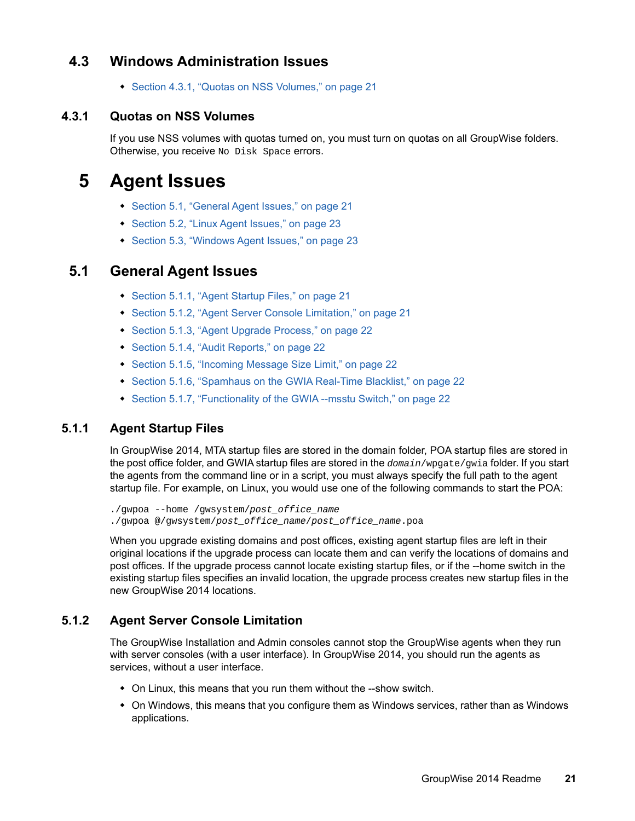## <span id="page-20-0"></span>**4.3 Windows Administration Issues**

• [Section 4.3.1, "Quotas on NSS Volumes," on page 21](#page-20-1)

#### <span id="page-20-1"></span>**4.3.1 Quotas on NSS Volumes**

If you use NSS volumes with quotas turned on, you must turn on quotas on all GroupWise folders. Otherwise, you receive No Disk Space errors.

## **5 Agent Issues**

- [Section 5.1, "General Agent Issues," on page 21](#page-20-2)
- [Section 5.2, "Linux Agent Issues," on page 23](#page-22-0)
- [Section 5.3, "Windows Agent Issues," on page 23](#page-22-1)

### <span id="page-20-2"></span>**5.1 General Agent Issues**

- [Section 5.1.1, "Agent Startup Files," on page 21](#page-20-3)
- [Section 5.1.2, "Agent Server Console Limitation," on page 21](#page-20-4)
- [Section 5.1.3, "Agent Upgrade Process," on page 22](#page-21-3)
- [Section 5.1.4, "Audit Reports," on page 22](#page-21-4)
- [Section 5.1.5, "Incoming Message Size Limit," on page 22](#page-21-1)
- [Section 5.1.6, "Spamhaus on the GWIA Real-Time Blacklist," on page 22](#page-21-0)
- [Section 5.1.7, "Functionality of the GWIA --msstu Switch," on page 22](#page-21-2)

#### <span id="page-20-3"></span>**5.1.1 Agent Startup Files**

In GroupWise 2014, MTA startup files are stored in the domain folder, POA startup files are stored in the post office folder, and GWIA startup files are stored in the *domain*/wpgate/gwia folder. If you start the agents from the command line or in a script, you must always specify the full path to the agent startup file. For example, on Linux, you would use one of the following commands to start the POA:

./gwpoa --home /gwsystem/*post\_office\_name* ./gwpoa @/gwsystem/*post\_office\_name*/*post\_office\_name*.poa

When you upgrade existing domains and post offices, existing agent startup files are left in their original locations if the upgrade process can locate them and can verify the locations of domains and post offices. If the upgrade process cannot locate existing startup files, or if the --home switch in the existing startup files specifies an invalid location, the upgrade process creates new startup files in the new GroupWise 2014 locations.

#### <span id="page-20-4"></span>**5.1.2 Agent Server Console Limitation**

The GroupWise Installation and Admin consoles cannot stop the GroupWise agents when they run with server consoles (with a user interface). In GroupWise 2014, you should run the agents as services, without a user interface.

- On Linux, this means that you run them without the --show switch.
- On Windows, this means that you configure them as Windows services, rather than as Windows applications.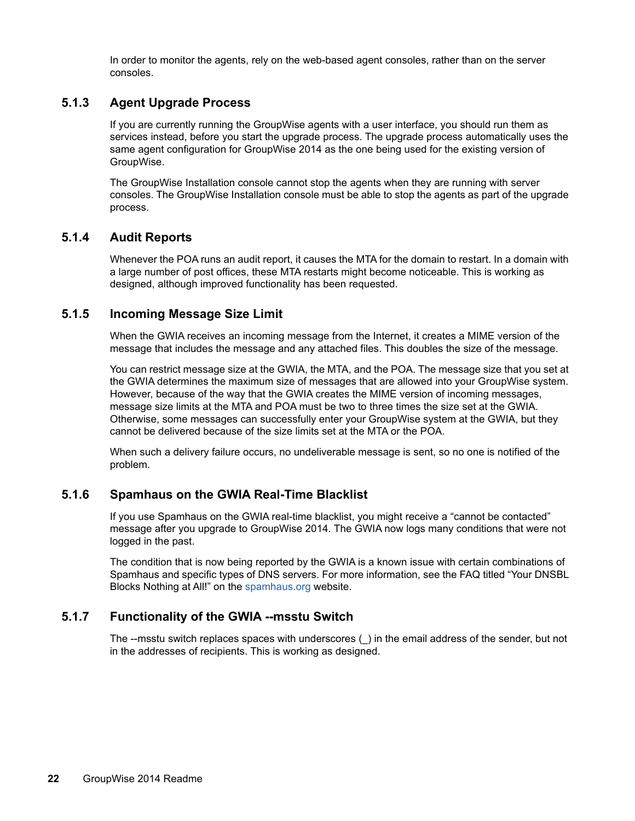In order to monitor the agents, rely on the web-based agent consoles, rather than on the server consoles.

#### <span id="page-21-3"></span>**5.1.3 Agent Upgrade Process**

If you are currently running the GroupWise agents with a user interface, you should run them as services instead, before you start the upgrade process. The upgrade process automatically uses the same agent configuration for GroupWise 2014 as the one being used for the existing version of GroupWise.

The GroupWise Installation console cannot stop the agents when they are running with server consoles. The GroupWise Installation console must be able to stop the agents as part of the upgrade process.

#### <span id="page-21-4"></span>**5.1.4 Audit Reports**

Whenever the POA runs an audit report, it causes the MTA for the domain to restart. In a domain with a large number of post offices, these MTA restarts might become noticeable. This is working as designed, although improved functionality has been requested.

#### <span id="page-21-1"></span>**5.1.5 Incoming Message Size Limit**

When the GWIA receives an incoming message from the Internet, it creates a MIME version of the message that includes the message and any attached files. This doubles the size of the message.

You can restrict message size at the GWIA, the MTA, and the POA. The message size that you set at the GWIA determines the maximum size of messages that are allowed into your GroupWise system. However, because of the way that the GWIA creates the MIME version of incoming messages, message size limits at the MTA and POA must be two to three times the size set at the GWIA. Otherwise, some messages can successfully enter your GroupWise system at the GWIA, but they cannot be delivered because of the size limits set at the MTA or the POA.

When such a delivery failure occurs, no undeliverable message is sent, so no one is notified of the problem.

#### <span id="page-21-0"></span>**5.1.6 Spamhaus on the GWIA Real-Time Blacklist**

If you use Spamhaus on the GWIA real-time blacklist, you might receive a "cannot be contacted" message after you upgrade to GroupWise 2014. The GWIA now logs many conditions that were not logged in the past.

The condition that is now being reported by the GWIA is a known issue with certain combinations of Spamhaus and specific types of DNS servers. For more information, see the FAQ titled "Your DNSBL Blocks Nothing at All!" on the [spamhaus.org](http://www.spamhaus.org) website.

#### <span id="page-21-2"></span>**5.1.7 Functionality of the GWIA --msstu Switch**

The --msstu switch replaces spaces with underscores (\_) in the email address of the sender, but not in the addresses of recipients. This is working as designed.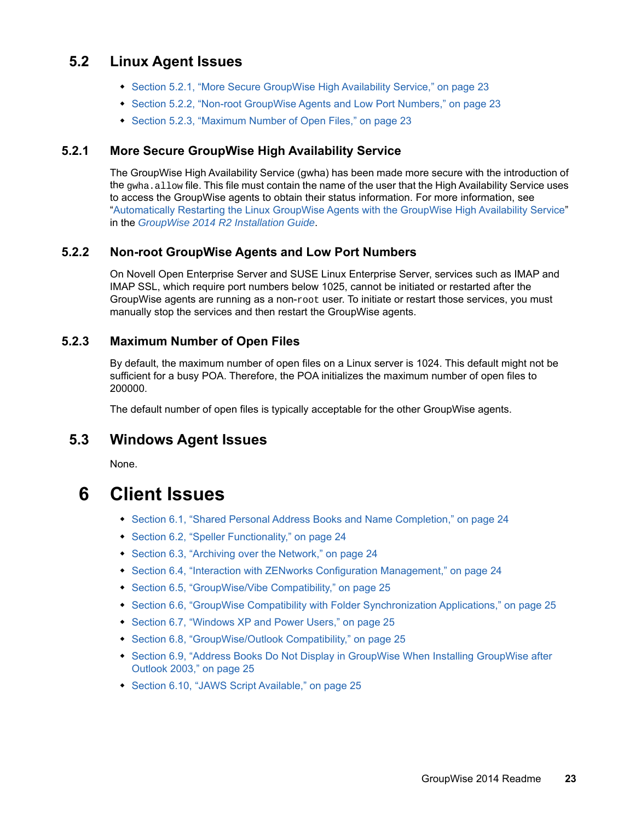## <span id="page-22-0"></span>**5.2 Linux Agent Issues**

- [Section 5.2.1, "More Secure GroupWise High Availability Service," on page 23](#page-22-2)
- [Section 5.2.2, "Non-root GroupWise Agents and Low Port Numbers," on page 23](#page-22-3)
- [Section 5.2.3, "Maximum Number of Open Files," on page 23](#page-22-4)

#### <span id="page-22-2"></span>**5.2.1 More Secure GroupWise High Availability Service**

The GroupWise High Availability Service (gwha) has been made more secure with the introduction of the gwha.allow file. This file must contain the name of the user that the High Availability Service uses to access the GroupWise agents to obtain their status information. For more information, see ["Automatically Restarting the Linux GroupWise Agents with the GroupWise High Availability Service"](https://www.novell.com/documentation/groupwise2014r2/pdfdoc/gw2014_guide_install/gw2014_guide_install.pdf#instcreateagentslinuxgwha) in the *[GroupWise 2014 R2 Installation Guide](https://www.novell.com/documentation/groupwise2014r2/pdfdoc/gw2014_guide_install/gw2014_guide_install.pdf#instfront)*.

#### <span id="page-22-3"></span>**5.2.2 Non-root GroupWise Agents and Low Port Numbers**

On Novell Open Enterprise Server and SUSE Linux Enterprise Server, services such as IMAP and IMAP SSL, which require port numbers below 1025, cannot be initiated or restarted after the GroupWise agents are running as a non-root user. To initiate or restart those services, you must manually stop the services and then restart the GroupWise agents.

#### <span id="page-22-4"></span>**5.2.3 Maximum Number of Open Files**

By default, the maximum number of open files on a Linux server is 1024. This default might not be sufficient for a busy POA. Therefore, the POA initializes the maximum number of open files to 200000.

The default number of open files is typically acceptable for the other GroupWise agents.

## <span id="page-22-1"></span>**5.3 Windows Agent Issues**

None.

## **6 Client Issues**

- [Section 6.1, "Shared Personal Address Books and Name Completion," on page 24](#page-23-0)
- [Section 6.2, "Speller Functionality," on page 24](#page-23-1)
- [Section 6.3, "Archiving over the Network," on page 24](#page-23-2)
- [Section 6.4, "Interaction with ZENworks Configuration Management," on page 24](#page-23-3)
- [Section 6.5, "GroupWise/Vibe Compatibility," on page 25](#page-24-3)
- [Section 6.6, "GroupWise Compatibility with Folder Synchronization Applications," on page 25](#page-24-4)
- [Section 6.7, "Windows XP and Power Users," on page 25](#page-24-5)
- [Section 6.8, "GroupWise/Outlook Compatibility," on page 25](#page-24-0)
- Section 6.9, "Address Books Do Not Display in GroupWise When Installing GroupWise after [Outlook 2003," on page 25](#page-24-1)
- [Section 6.10, "JAWS Script Available," on page 25](#page-24-2)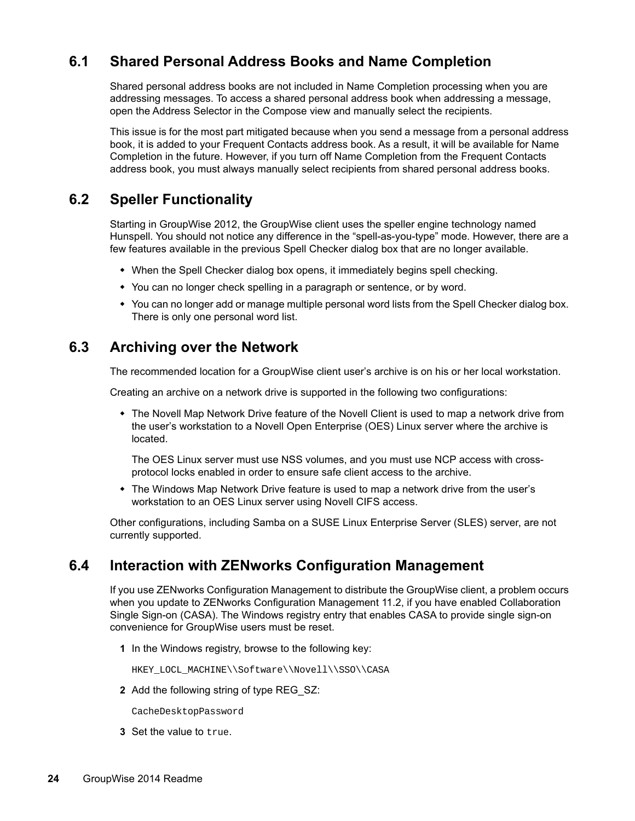## <span id="page-23-0"></span>**6.1 Shared Personal Address Books and Name Completion**

Shared personal address books are not included in Name Completion processing when you are addressing messages. To access a shared personal address book when addressing a message, open the Address Selector in the Compose view and manually select the recipients.

This issue is for the most part mitigated because when you send a message from a personal address book, it is added to your Frequent Contacts address book. As a result, it will be available for Name Completion in the future. However, if you turn off Name Completion from the Frequent Contacts address book, you must always manually select recipients from shared personal address books.

## <span id="page-23-1"></span>**6.2 Speller Functionality**

Starting in GroupWise 2012, the GroupWise client uses the speller engine technology named Hunspell. You should not notice any difference in the "spell-as-you-type" mode. However, there are a few features available in the previous Spell Checker dialog box that are no longer available.

- When the Spell Checker dialog box opens, it immediately begins spell checking.
- You can no longer check spelling in a paragraph or sentence, or by word.
- You can no longer add or manage multiple personal word lists from the Spell Checker dialog box. There is only one personal word list.

## <span id="page-23-2"></span>**6.3 Archiving over the Network**

The recommended location for a GroupWise client user's archive is on his or her local workstation.

Creating an archive on a network drive is supported in the following two configurations:

• The Novell Map Network Drive feature of the Novell Client is used to map a network drive from the user's workstation to a Novell Open Enterprise (OES) Linux server where the archive is located.

The OES Linux server must use NSS volumes, and you must use NCP access with crossprotocol locks enabled in order to ensure safe client access to the archive.

• The Windows Map Network Drive feature is used to map a network drive from the user's workstation to an OES Linux server using Novell CIFS access.

Other configurations, including Samba on a SUSE Linux Enterprise Server (SLES) server, are not currently supported.

## <span id="page-23-3"></span>**6.4 Interaction with ZENworks Configuration Management**

If you use ZENworks Configuration Management to distribute the GroupWise client, a problem occurs when you update to ZENworks Configuration Management 11.2, if you have enabled Collaboration Single Sign-on (CASA). The Windows registry entry that enables CASA to provide single sign-on convenience for GroupWise users must be reset.

**1** In the Windows registry, browse to the following key:

HKEY\_LOCL\_MACHINE\\Software\\Novell\\SSO\\CASA

**2** Add the following string of type REG\_SZ:

CacheDesktopPassword

**3** Set the value to true.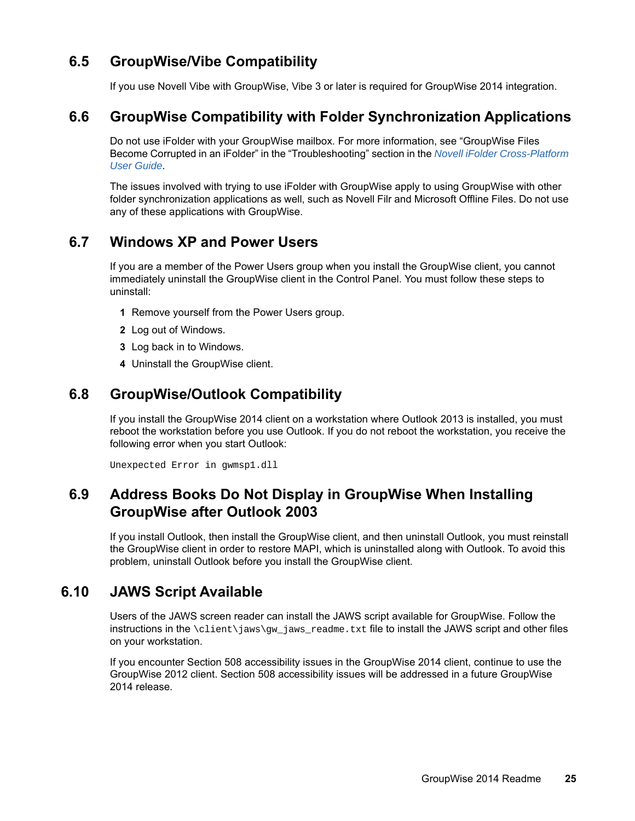## <span id="page-24-3"></span>**6.5 GroupWise/Vibe Compatibility**

If you use Novell Vibe with GroupWise, Vibe 3 or later is required for GroupWise 2014 integration.

## <span id="page-24-4"></span>**6.6 GroupWise Compatibility with Folder Synchronization Applications**

Do not use iFolder with your GroupWise mailbox. For more information, see "GroupWise Files Become Corrupted in an iFolder" in the "Troubleshooting" section in the *[Novell iFolder Cross-Platform](http://www.novell.com/documentation/ifolderos/os_ifolder37_user/data/bookinfo.html)  [User Guide](http://www.novell.com/documentation/ifolderos/os_ifolder37_user/data/bookinfo.html)*.

The issues involved with trying to use iFolder with GroupWise apply to using GroupWise with other folder synchronization applications as well, such as Novell Filr and Microsoft Offline Files. Do not use any of these applications with GroupWise.

## <span id="page-24-5"></span>**6.7 Windows XP and Power Users**

If you are a member of the Power Users group when you install the GroupWise client, you cannot immediately uninstall the GroupWise client in the Control Panel. You must follow these steps to uninstall:

- **1** Remove yourself from the Power Users group.
- **2** Log out of Windows.
- **3** Log back in to Windows.
- **4** Uninstall the GroupWise client.

## <span id="page-24-0"></span>**6.8 GroupWise/Outlook Compatibility**

If you install the GroupWise 2014 client on a workstation where Outlook 2013 is installed, you must reboot the workstation before you use Outlook. If you do not reboot the workstation, you receive the following error when you start Outlook:

Unexpected Error in gwmsp1.dll

## <span id="page-24-1"></span>**6.9 Address Books Do Not Display in GroupWise When Installing GroupWise after Outlook 2003**

If you install Outlook, then install the GroupWise client, and then uninstall Outlook, you must reinstall the GroupWise client in order to restore MAPI, which is uninstalled along with Outlook. To avoid this problem, uninstall Outlook before you install the GroupWise client.

## <span id="page-24-2"></span>**6.10 JAWS Script Available**

Users of the JAWS screen reader can install the JAWS script available for GroupWise. Follow the instructions in the  $\clap{\text{client}}\jambreak{\text{gw}_jaws_readm}$ .txt file to install the JAWS script and other files on your workstation.

If you encounter Section 508 accessibility issues in the GroupWise 2014 client, continue to use the GroupWise 2012 client. Section 508 accessibility issues will be addressed in a future GroupWise 2014 release.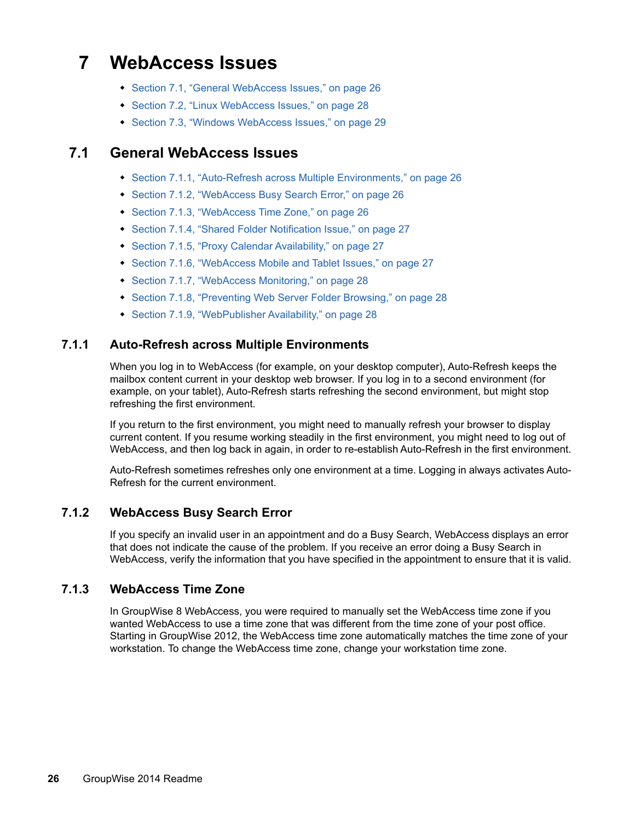## **7 WebAccess Issues**

- [Section 7.1, "General WebAccess Issues," on page 26](#page-25-0)
- [Section 7.2, "Linux WebAccess Issues," on page 28](#page-27-1)
- [Section 7.3, "Windows WebAccess Issues," on page 29](#page-28-0)

## <span id="page-25-0"></span>**7.1 General WebAccess Issues**

- [Section 7.1.1, "Auto-Refresh across Multiple Environments," on page 26](#page-25-1)
- [Section 7.1.2, "WebAccess Busy Search Error," on page 26](#page-25-2)
- [Section 7.1.3, "WebAccess Time Zone," on page 26](#page-25-3)
- [Section 7.1.4, "Shared Folder Notification Issue," on page 27](#page-26-0)
- [Section 7.1.5, "Proxy Calendar Availability," on page 27](#page-26-1)
- [Section 7.1.6, "WebAccess Mobile and Tablet Issues," on page 27](#page-26-2)
- [Section 7.1.7, "WebAccess Monitoring," on page 28](#page-27-2)
- [Section 7.1.8, "Preventing Web Server Folder Browsing," on page 28](#page-27-3)
- [Section 7.1.9, "WebPublisher Availability," on page 28](#page-27-0)

#### <span id="page-25-1"></span>**7.1.1 Auto-Refresh across Multiple Environments**

When you log in to WebAccess (for example, on your desktop computer), Auto-Refresh keeps the mailbox content current in your desktop web browser. If you log in to a second environment (for example, on your tablet), Auto-Refresh starts refreshing the second environment, but might stop refreshing the first environment.

If you return to the first environment, you might need to manually refresh your browser to display current content. If you resume working steadily in the first environment, you might need to log out of WebAccess, and then log back in again, in order to re-establish Auto-Refresh in the first environment.

Auto-Refresh sometimes refreshes only one environment at a time. Logging in always activates Auto-Refresh for the current environment.

#### <span id="page-25-2"></span>**7.1.2 WebAccess Busy Search Error**

If you specify an invalid user in an appointment and do a Busy Search, WebAccess displays an error that does not indicate the cause of the problem. If you receive an error doing a Busy Search in WebAccess, verify the information that you have specified in the appointment to ensure that it is valid.

#### <span id="page-25-3"></span>**7.1.3 WebAccess Time Zone**

In GroupWise 8 WebAccess, you were required to manually set the WebAccess time zone if you wanted WebAccess to use a time zone that was different from the time zone of your post office. Starting in GroupWise 2012, the WebAccess time zone automatically matches the time zone of your workstation. To change the WebAccess time zone, change your workstation time zone.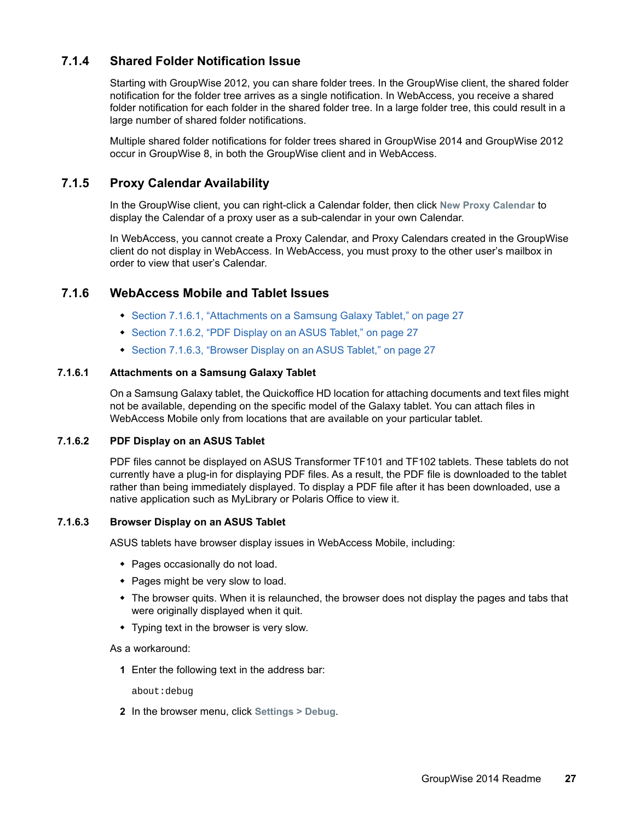#### <span id="page-26-0"></span>**7.1.4 Shared Folder Notification Issue**

Starting with GroupWise 2012, you can share folder trees. In the GroupWise client, the shared folder notification for the folder tree arrives as a single notification. In WebAccess, you receive a shared folder notification for each folder in the shared folder tree. In a large folder tree, this could result in a large number of shared folder notifications.

Multiple shared folder notifications for folder trees shared in GroupWise 2014 and GroupWise 2012 occur in GroupWise 8, in both the GroupWise client and in WebAccess.

#### <span id="page-26-1"></span>**7.1.5 Proxy Calendar Availability**

In the GroupWise client, you can right-click a Calendar folder, then click **New Proxy Calendar** to display the Calendar of a proxy user as a sub-calendar in your own Calendar.

In WebAccess, you cannot create a Proxy Calendar, and Proxy Calendars created in the GroupWise client do not display in WebAccess. In WebAccess, you must proxy to the other user's mailbox in order to view that user's Calendar.

#### <span id="page-26-2"></span>**7.1.6 WebAccess Mobile and Tablet Issues**

- [Section 7.1.6.1, "Attachments on a Samsung Galaxy Tablet," on page 27](#page-26-3)
- ◆ [Section 7.1.6.2, "PDF Display on an ASUS Tablet," on page 27](#page-26-4)
- [Section 7.1.6.3, "Browser Display on an ASUS Tablet," on page 27](#page-26-5)

#### <span id="page-26-3"></span>**7.1.6.1 Attachments on a Samsung Galaxy Tablet**

On a Samsung Galaxy tablet, the Quickoffice HD location for attaching documents and text files might not be available, depending on the specific model of the Galaxy tablet. You can attach files in WebAccess Mobile only from locations that are available on your particular tablet.

#### <span id="page-26-4"></span>**7.1.6.2 PDF Display on an ASUS Tablet**

PDF files cannot be displayed on ASUS Transformer TF101 and TF102 tablets. These tablets do not currently have a plug-in for displaying PDF files. As a result, the PDF file is downloaded to the tablet rather than being immediately displayed. To display a PDF file after it has been downloaded, use a native application such as MyLibrary or Polaris Office to view it.

#### <span id="page-26-5"></span>**7.1.6.3 Browser Display on an ASUS Tablet**

ASUS tablets have browser display issues in WebAccess Mobile, including:

- Pages occasionally do not load.
- Pages might be very slow to load.
- The browser quits. When it is relaunched, the browser does not display the pages and tabs that were originally displayed when it quit.
- Typing text in the browser is very slow.

As a workaround:

**1** Enter the following text in the address bar:

about:debug

**2** In the browser menu, click **Settings > Debug**.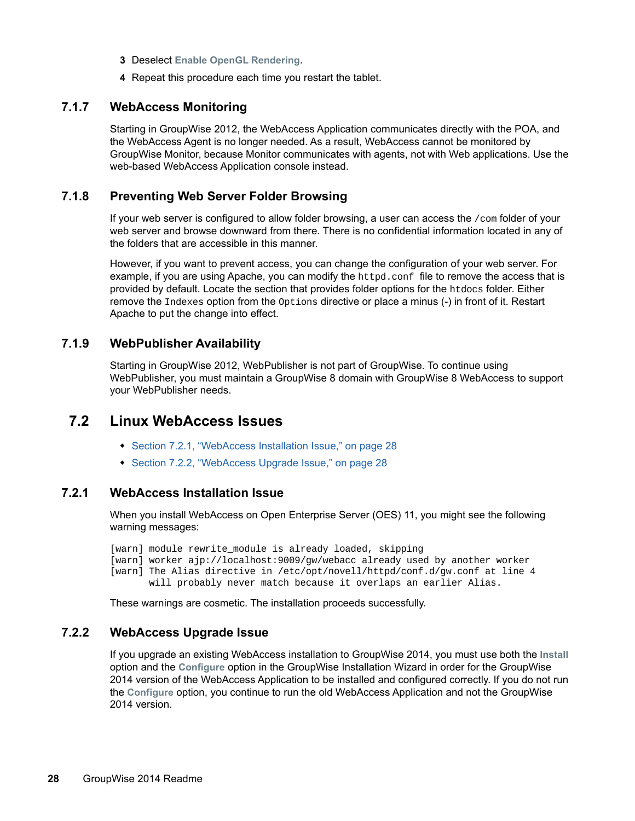- **3** Deselect **Enable OpenGL Rendering**.
- **4** Repeat this procedure each time you restart the tablet.

#### <span id="page-27-2"></span>**7.1.7 WebAccess Monitoring**

Starting in GroupWise 2012, the WebAccess Application communicates directly with the POA, and the WebAccess Agent is no longer needed. As a result, WebAccess cannot be monitored by GroupWise Monitor, because Monitor communicates with agents, not with Web applications. Use the web-based WebAccess Application console instead.

#### <span id="page-27-3"></span>**7.1.8 Preventing Web Server Folder Browsing**

If your web server is configured to allow folder browsing, a user can access the  $/$ com folder of your web server and browse downward from there. There is no confidential information located in any of the folders that are accessible in this manner.

However, if you want to prevent access, you can change the configuration of your web server. For example, if you are using Apache, you can modify the httpd.conf file to remove the access that is provided by default. Locate the section that provides folder options for the htdocs folder. Either remove the Indexes option from the Options directive or place a minus (-) in front of it. Restart Apache to put the change into effect.

#### <span id="page-27-0"></span>**7.1.9 WebPublisher Availability**

Starting in GroupWise 2012, WebPublisher is not part of GroupWise. To continue using WebPublisher, you must maintain a GroupWise 8 domain with GroupWise 8 WebAccess to support your WebPublisher needs.

### <span id="page-27-1"></span>**7.2 Linux WebAccess Issues**

- [Section 7.2.1, "WebAccess Installation Issue," on page 28](#page-27-5)
- [Section 7.2.2, "WebAccess Upgrade Issue," on page 28](#page-27-4)

#### <span id="page-27-5"></span>**7.2.1 WebAccess Installation Issue**

When you install WebAccess on Open Enterprise Server (OES) 11, you might see the following warning messages:

[warn] module rewrite\_module is already loaded, skipping [warn] worker ajp://localhost:9009/gw/webacc already used by another worker [warn] The Alias directive in /etc/opt/novell/httpd/conf.d/gw.conf at line 4 will probably never match because it overlaps an earlier Alias.

These warnings are cosmetic. The installation proceeds successfully.

#### <span id="page-27-4"></span>**7.2.2 WebAccess Upgrade Issue**

If you upgrade an existing WebAccess installation to GroupWise 2014, you must use both the **Install** option and the **Configure** option in the GroupWise Installation Wizard in order for the GroupWise 2014 version of the WebAccess Application to be installed and configured correctly. If you do not run the **Configure** option, you continue to run the old WebAccess Application and not the GroupWise 2014 version.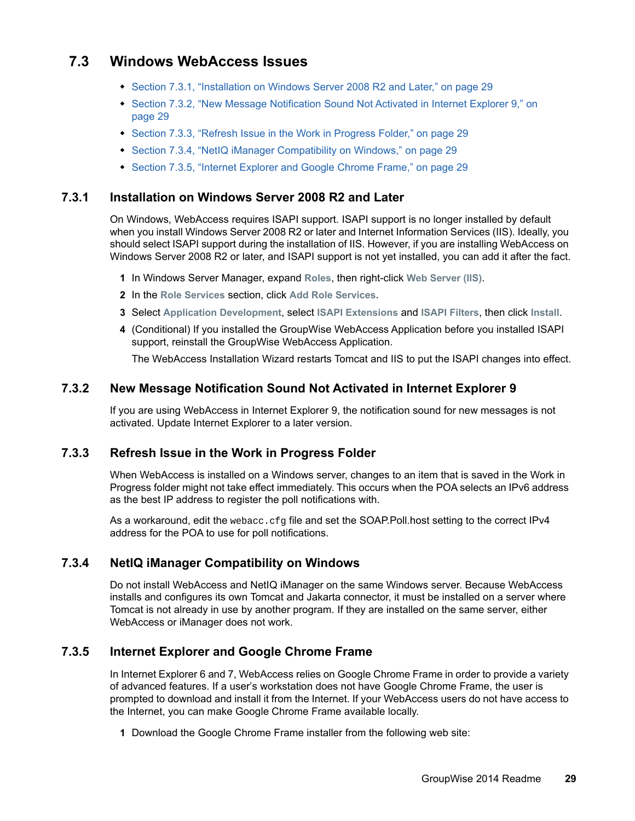## <span id="page-28-0"></span>**7.3 Windows WebAccess Issues**

- [Section 7.3.1, "Installation on Windows Server 2008 R2 and Later," on page 29](#page-28-3)
- [Section 7.3.2, "New Message Notification Sound Not Activated in Internet Explorer 9," on](#page-28-4)  [page 29](#page-28-4)
- [Section 7.3.3, "Refresh Issue in the Work in Progress Folder," on page 29](#page-28-5)
- [Section 7.3.4, "NetIQ iManager Compatibility on Windows," on page 29](#page-28-1)
- [Section 7.3.5, "Internet Explorer and Google Chrome Frame," on page 29](#page-28-2)

#### <span id="page-28-3"></span>**7.3.1 Installation on Windows Server 2008 R2 and Later**

On Windows, WebAccess requires ISAPI support. ISAPI support is no longer installed by default when you install Windows Server 2008 R2 or later and Internet Information Services (IIS). Ideally, you should select ISAPI support during the installation of IIS. However, if you are installing WebAccess on Windows Server 2008 R2 or later, and ISAPI support is not yet installed, you can add it after the fact.

- **1** In Windows Server Manager, expand **Roles**, then right-click **Web Server (IIS)**.
- **2** In the **Role Services** section, click **Add Role Services**.
- **3** Select **Application Development**, select **ISAPI Extensions** and **ISAPI Filters**, then click **Install**.
- **4** (Conditional) If you installed the GroupWise WebAccess Application before you installed ISAPI support, reinstall the GroupWise WebAccess Application.

The WebAccess Installation Wizard restarts Tomcat and IIS to put the ISAPI changes into effect.

#### <span id="page-28-4"></span>**7.3.2 New Message Notification Sound Not Activated in Internet Explorer 9**

If you are using WebAccess in Internet Explorer 9, the notification sound for new messages is not activated. Update Internet Explorer to a later version.

#### <span id="page-28-5"></span>**7.3.3 Refresh Issue in the Work in Progress Folder**

When WebAccess is installed on a Windows server, changes to an item that is saved in the Work in Progress folder might not take effect immediately. This occurs when the POA selects an IPv6 address as the best IP address to register the poll notifications with.

As a workaround, edit the webacc.cfg file and set the SOAP.Poll.host setting to the correct IPv4 address for the POA to use for poll notifications.

#### <span id="page-28-1"></span>**7.3.4 NetIQ iManager Compatibility on Windows**

Do not install WebAccess and NetIQ iManager on the same Windows server. Because WebAccess installs and configures its own Tomcat and Jakarta connector, it must be installed on a server where Tomcat is not already in use by another program. If they are installed on the same server, either WebAccess or iManager does not work.

#### <span id="page-28-2"></span>**7.3.5 Internet Explorer and Google Chrome Frame**

In Internet Explorer 6 and 7, WebAccess relies on Google Chrome Frame in order to provide a variety of advanced features. If a user's workstation does not have Google Chrome Frame, the user is prompted to download and install it from the Internet. If your WebAccess users do not have access to the Internet, you can make Google Chrome Frame available locally.

**1** Download the Google Chrome Frame installer from the following web site: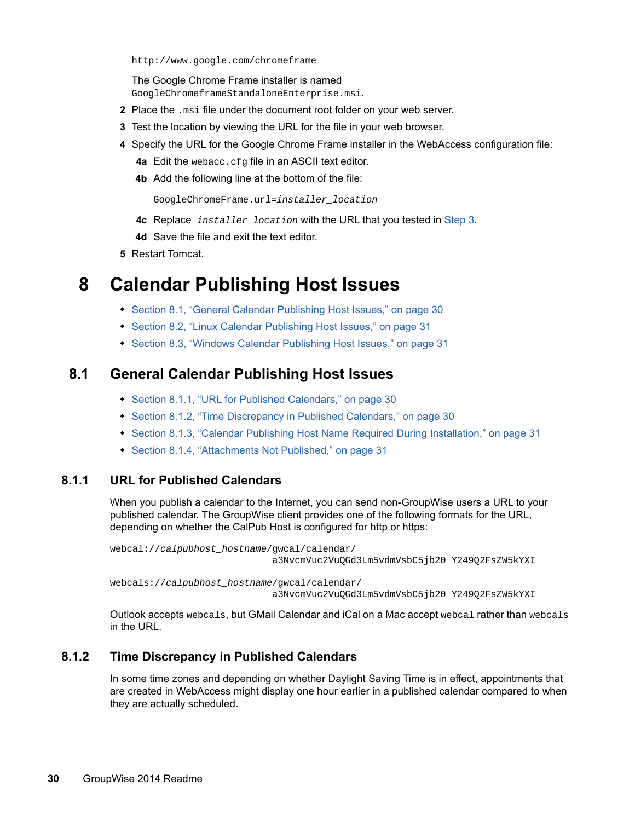http://www.google.com/chromeframe

The Google Chrome Frame installer is named GoogleChromeframeStandaloneEnterprise.msi.

- **2** Place the .msi file under the document root folder on your web server.
- <span id="page-29-0"></span>**3** Test the location by viewing the URL for the file in your web browser.
- **4** Specify the URL for the Google Chrome Frame installer in the WebAccess configuration file:
	- **4a** Edit the webacc.cfg file in an ASCII text editor.
	- **4b** Add the following line at the bottom of the file:

GoogleChromeFrame.url=*installer\_location*

- **4c** Replace *installer\_location* with the URL that you tested in [Step 3.](#page-29-0)
- **4d** Save the file and exit the text editor.
- **5** Restart Tomcat.

## **8 Calendar Publishing Host Issues**

- [Section 8.1, "General Calendar Publishing Host Issues," on page 30](#page-29-1)
- [Section 8.2, "Linux Calendar Publishing Host Issues," on page 31](#page-30-2)
- [Section 8.3, "Windows Calendar Publishing Host Issues," on page 31](#page-30-3)

#### <span id="page-29-1"></span>**8.1 General Calendar Publishing Host Issues**

- [Section 8.1.1, "URL for Published Calendars," on page 30](#page-29-2)
- [Section 8.1.2, "Time Discrepancy in Published Calendars," on page 30](#page-29-3)
- [Section 8.1.3, "Calendar Publishing Host Name Required During Installation," on page 31](#page-30-0)
- [Section 8.1.4, "Attachments Not Published," on page 31](#page-30-1)

#### <span id="page-29-2"></span>**8.1.1 URL for Published Calendars**

When you publish a calendar to the Internet, you can send non-GroupWise users a URL to your published calendar. The GroupWise client provides one of the following formats for the URL, depending on whether the CalPub Host is configured for http or https:

```
webcal://calpubhost_hostname/gwcal/calendar/
                  a3NvcmVuc2VuQGd3Lm5vdmVsbC5jb20_Y249Q2FsZW5kYXI
```
webcals://*calpubhost\_hostname*/gwcal/calendar/ a3NvcmVuc2VuQGd3Lm5vdmVsbC5jb20\_Y249Q2FsZW5kYXI

Outlook accepts webcals, but GMail Calendar and iCal on a Mac accept webcal rather than webcals in the URL.

#### <span id="page-29-3"></span>**8.1.2 Time Discrepancy in Published Calendars**

In some time zones and depending on whether Daylight Saving Time is in effect, appointments that are created in WebAccess might display one hour earlier in a published calendar compared to when they are actually scheduled.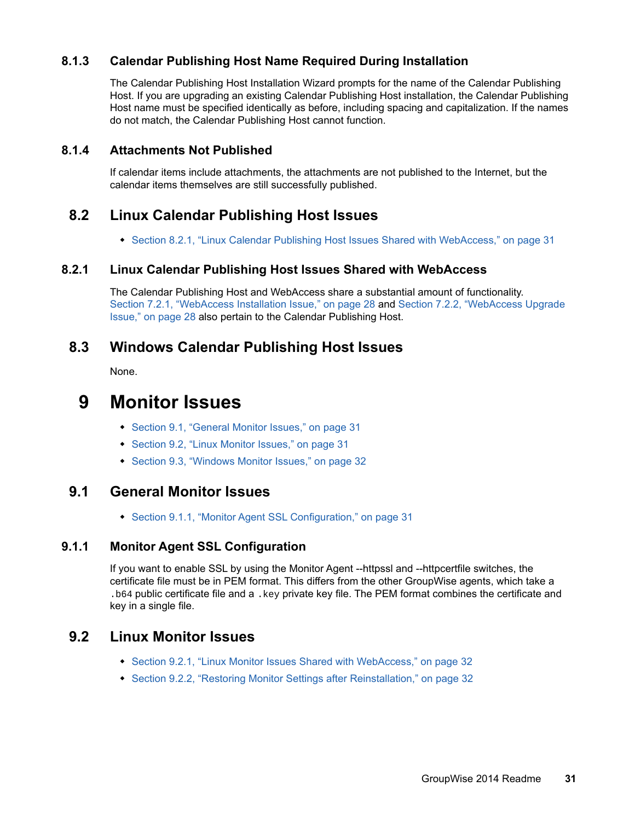#### <span id="page-30-0"></span>**8.1.3 Calendar Publishing Host Name Required During Installation**

The Calendar Publishing Host Installation Wizard prompts for the name of the Calendar Publishing Host. If you are upgrading an existing Calendar Publishing Host installation, the Calendar Publishing Host name must be specified identically as before, including spacing and capitalization. If the names do not match, the Calendar Publishing Host cannot function.

#### <span id="page-30-1"></span>**8.1.4 Attachments Not Published**

If calendar items include attachments, the attachments are not published to the Internet, but the calendar items themselves are still successfully published.

## <span id="page-30-2"></span>**8.2 Linux Calendar Publishing Host Issues**

• [Section 8.2.1, "Linux Calendar Publishing Host Issues Shared with WebAccess," on page 31](#page-30-4)

#### <span id="page-30-4"></span>**8.2.1 Linux Calendar Publishing Host Issues Shared with WebAccess**

The Calendar Publishing Host and WebAccess share a substantial amount of functionality. [Section 7.2.1, "WebAccess Installation Issue," on page 28](#page-27-5) and [Section 7.2.2, "WebAccess Upgrade](#page-27-4)  [Issue," on page 28](#page-27-4) also pertain to the Calendar Publishing Host.

## <span id="page-30-3"></span>**8.3 Windows Calendar Publishing Host Issues**

None.

## **9 Monitor Issues**

- [Section 9.1, "General Monitor Issues," on page 31](#page-30-5)
- [Section 9.2, "Linux Monitor Issues," on page 31](#page-30-6)
- [Section 9.3, "Windows Monitor Issues," on page 32](#page-31-2)

## <span id="page-30-5"></span>**9.1 General Monitor Issues**

◆ [Section 9.1.1, "Monitor Agent SSL Configuration," on page 31](#page-30-7)

#### <span id="page-30-7"></span>**9.1.1 Monitor Agent SSL Configuration**

If you want to enable SSL by using the Monitor Agent --httpssl and --httpcertfile switches, the certificate file must be in PEM format. This differs from the other GroupWise agents, which take a .b64 public certificate file and a .key private key file. The PEM format combines the certificate and key in a single file.

## <span id="page-30-6"></span>**9.2 Linux Monitor Issues**

- [Section 9.2.1, "Linux Monitor Issues Shared with WebAccess," on page 32](#page-31-0)
- [Section 9.2.2, "Restoring Monitor Settings after Reinstallation," on page 32](#page-31-1)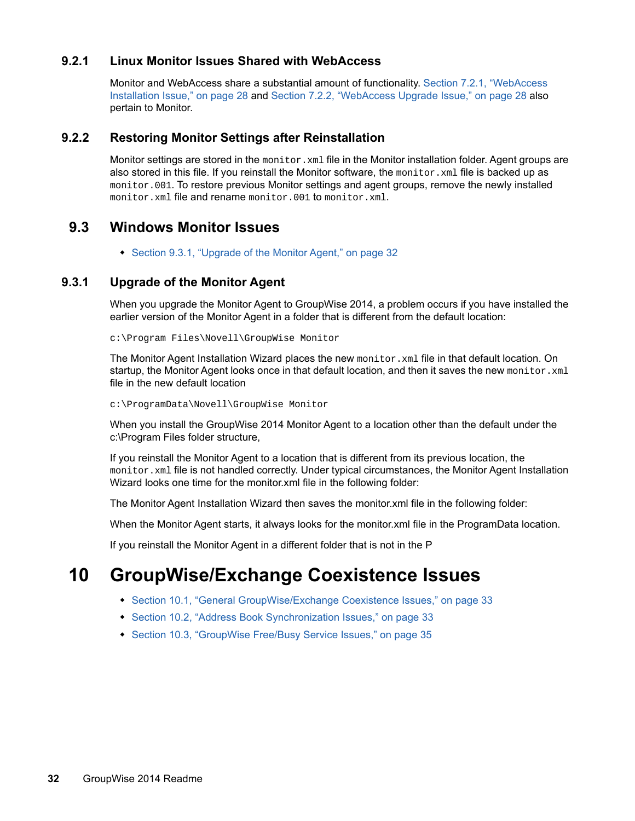#### <span id="page-31-0"></span>**9.2.1 Linux Monitor Issues Shared with WebAccess**

Monitor and WebAccess share a substantial amount of functionality. [Section 7.2.1, "WebAccess](#page-27-5)  [Installation Issue," on page 28](#page-27-5) and [Section 7.2.2, "WebAccess Upgrade Issue," on page 28](#page-27-4) also pertain to Monitor.

#### <span id="page-31-1"></span>**9.2.2 Restoring Monitor Settings after Reinstallation**

Monitor settings are stored in the monitor.xml file in the Monitor installation folder. Agent groups are also stored in this file. If you reinstall the Monitor software, the monitor.  $x$ ml file is backed up as monitor.001. To restore previous Monitor settings and agent groups, remove the newly installed monitor.xml file and rename monitor.001 to monitor.xml.

### <span id="page-31-2"></span>**9.3 Windows Monitor Issues**

• [Section 9.3.1, "Upgrade of the Monitor Agent," on page 32](#page-31-3)

#### <span id="page-31-3"></span>**9.3.1 Upgrade of the Monitor Agent**

When you upgrade the Monitor Agent to GroupWise 2014, a problem occurs if you have installed the earlier version of the Monitor Agent in a folder that is different from the default location:

c:\Program Files\Novell\GroupWise Monitor

The Monitor Agent Installation Wizard places the new  $\text{monitor} \cdot \text{xml}$  file in that default location. On startup, the Monitor Agent looks once in that default location, and then it saves the new monitor. xml file in the new default location

c:\ProgramData\Novell\GroupWise Monitor

When you install the GroupWise 2014 Monitor Agent to a location other than the default under the c:\Program Files folder structure,

If you reinstall the Monitor Agent to a location that is different from its previous location, the monitor.xml file is not handled correctly. Under typical circumstances, the Monitor Agent Installation Wizard looks one time for the monitor.xml file in the following folder:

The Monitor Agent Installation Wizard then saves the monitor.xml file in the following folder:

When the Monitor Agent starts, it always looks for the monitor.xml file in the ProgramData location.

If you reinstall the Monitor Agent in a different folder that is not in the P

## **10 GroupWise/Exchange Coexistence Issues**

- [Section 10.1, "General GroupWise/Exchange Coexistence Issues," on page 33](#page-32-0)
- [Section 10.2, "Address Book Synchronization Issues," on page 33](#page-32-1)
- [Section 10.3, "GroupWise Free/Busy Service Issues," on page 35](#page-34-0)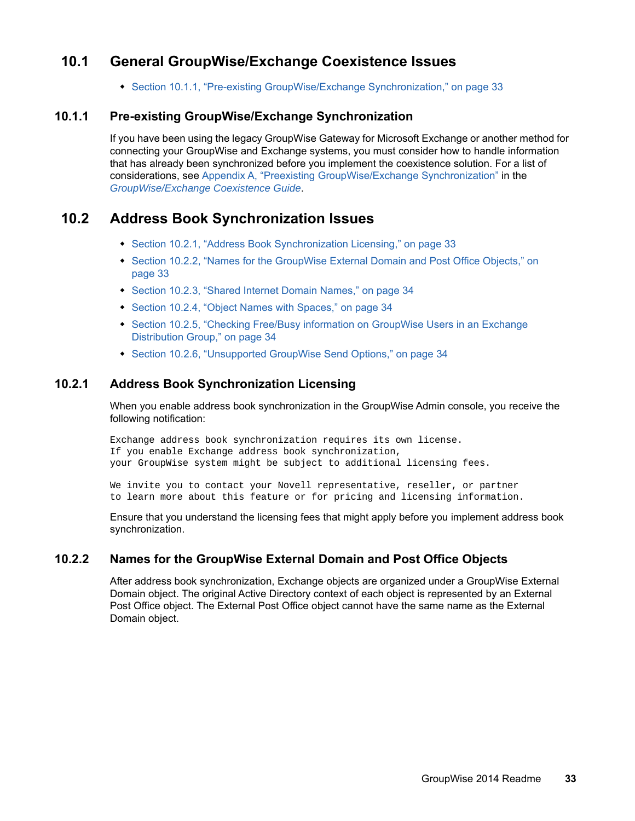## <span id="page-32-0"></span>**10.1 General GroupWise/Exchange Coexistence Issues**

[Section 10.1.1, "Pre-existing GroupWise/Exchange Synchronization," on page 33](#page-32-2)

#### <span id="page-32-2"></span>**10.1.1 Pre-existing GroupWise/Exchange Synchronization**

If you have been using the legacy GroupWise Gateway for Microsoft Exchange or another method for connecting your GroupWise and Exchange systems, you must consider how to handle information that has already been synchronized before you implement the coexistence solution. For a list of considerations, see [Appendix A,](https://www.novell.com/documentation/groupwise2014/gw2014_guide_exchcoexist/data/coex_preexist.html) "Preexisting GroupWise/Exchange Synchronization" in the *[GroupWise/Exchange Coexistence Guide](https://www.novell.com/documentation/groupwise2014/gw2014_guide_exchcoexist/data/coex_front.html)*.

## <span id="page-32-1"></span>**10.2 Address Book Synchronization Issues**

- [Section 10.2.1, "Address Book Synchronization Licensing," on page 33](#page-32-3)
- Section 10.2.2, "Names for the GroupWise External Domain and Post Office Objects," on [page 33](#page-32-4)
- [Section 10.2.3, "Shared Internet Domain Names," on page 34](#page-33-0)
- [Section 10.2.4, "Object Names with Spaces," on page 34](#page-33-1)
- [Section 10.2.5, "Checking Free/Busy information on GroupWise Users in an Exchange](#page-33-2)  [Distribution Group," on page 34](#page-33-2)
- [Section 10.2.6, "Unsupported GroupWise Send Options," on page 34](#page-33-3)

#### <span id="page-32-3"></span>**10.2.1 Address Book Synchronization Licensing**

When you enable address book synchronization in the GroupWise Admin console, you receive the following notification:

Exchange address book synchronization requires its own license. If you enable Exchange address book synchronization, your GroupWise system might be subject to additional licensing fees.

We invite you to contact your Novell representative, reseller, or partner to learn more about this feature or for pricing and licensing information.

Ensure that you understand the licensing fees that might apply before you implement address book synchronization.

#### <span id="page-32-4"></span>**10.2.2 Names for the GroupWise External Domain and Post Office Objects**

After address book synchronization, Exchange objects are organized under a GroupWise External Domain object. The original Active Directory context of each object is represented by an External Post Office object. The External Post Office object cannot have the same name as the External Domain object.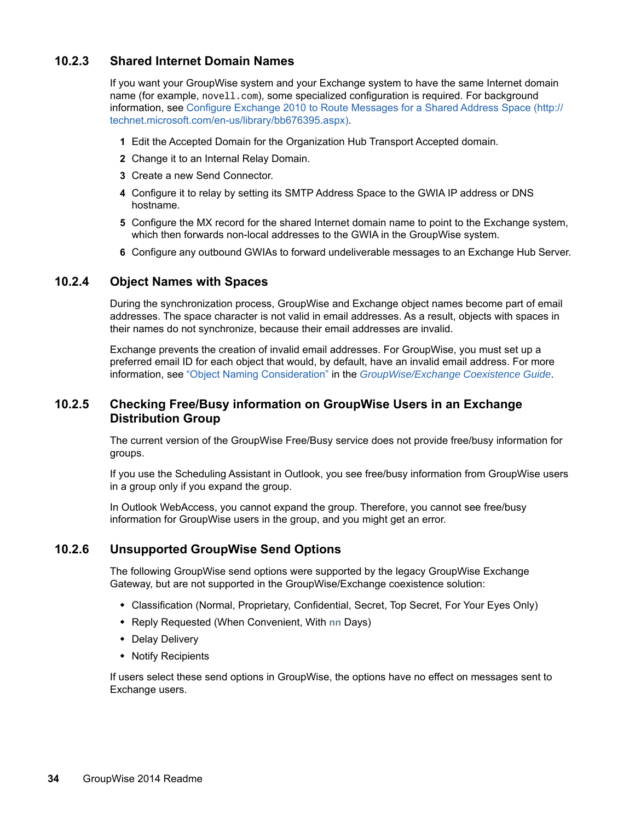#### <span id="page-33-0"></span>**10.2.3 Shared Internet Domain Names**

If you want your GroupWise system and your Exchange system to have the same Internet domain name (for example, novell.com), some specialized configuration is required. For background information, see [Configure Exchange 2010 to Route Messages for a Shared Address Space](http://technet.microsoft.com/en-us/library/bb676395.aspx) (http:// technet.microsoft.com/en-us/library/bb676395.aspx).

- **1** Edit the Accepted Domain for the Organization Hub Transport Accepted domain.
- **2** Change it to an Internal Relay Domain.
- **3** Create a new Send Connector.
- **4** Configure it to relay by setting its SMTP Address Space to the GWIA IP address or DNS hostname.
- **5** Configure the MX record for the shared Internet domain name to point to the Exchange system, which then forwards non-local addresses to the GWIA in the GroupWise system.
- **6** Configure any outbound GWIAs to forward undeliverable messages to an Exchange Hub Server.

#### <span id="page-33-1"></span>**10.2.4 Object Names with Spaces**

During the synchronization process, GroupWise and Exchange object names become part of email addresses. The space character is not valid in email addresses. As a result, objects with spaces in their names do not synchronize, because their email addresses are invalid.

Exchange prevents the creation of invalid email addresses. For GroupWise, you must set up a preferred email ID for each object that would, by default, have an invalid email address. For more information, see "Object Naming Consideration" in the *[GroupWise/Exchange Coexistence Guide](https://www.novell.com/documentation/groupwise2014/gw2014_guide_exchcoexist/data/coex_front.html)*.

#### <span id="page-33-2"></span>**10.2.5 Checking Free/Busy information on GroupWise Users in an Exchange Distribution Group**

The current version of the GroupWise Free/Busy service does not provide free/busy information for groups.

If you use the Scheduling Assistant in Outlook, you see free/busy information from GroupWise users in a group only if you expand the group.

In Outlook WebAccess, you cannot expand the group. Therefore, you cannot see free/busy information for GroupWise users in the group, and you might get an error.

#### <span id="page-33-3"></span>**10.2.6 Unsupported GroupWise Send Options**

The following GroupWise send options were supported by the legacy GroupWise Exchange Gateway, but are not supported in the GroupWise/Exchange coexistence solution:

- Classification (Normal, Proprietary, Confidential, Secret, Top Secret, For Your Eyes Only)
- Reply Requested (When Convenient, With **nn** Days)
- Delay Delivery
- Notify Recipients

If users select these send options in GroupWise, the options have no effect on messages sent to Exchange users.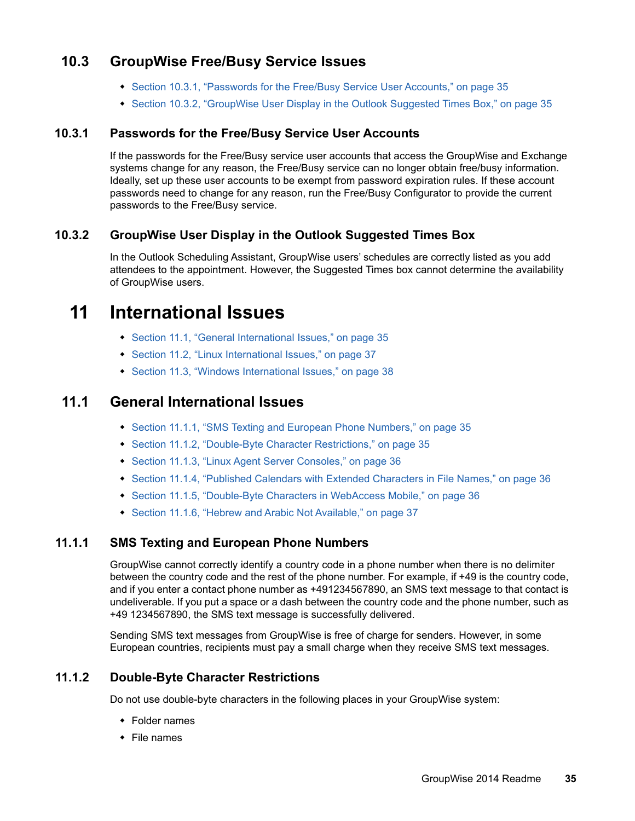## <span id="page-34-0"></span>**10.3 GroupWise Free/Busy Service Issues**

- [Section 10.3.1, "Passwords for the Free/Busy Service User Accounts," on page 35](#page-34-1)
- [Section 10.3.2, "GroupWise User Display in the Outlook Suggested Times Box," on page 35](#page-34-2)

#### <span id="page-34-1"></span>**10.3.1 Passwords for the Free/Busy Service User Accounts**

If the passwords for the Free/Busy service user accounts that access the GroupWise and Exchange systems change for any reason, the Free/Busy service can no longer obtain free/busy information. Ideally, set up these user accounts to be exempt from password expiration rules. If these account passwords need to change for any reason, run the Free/Busy Configurator to provide the current passwords to the Free/Busy service.

#### <span id="page-34-2"></span>**10.3.2 GroupWise User Display in the Outlook Suggested Times Box**

In the Outlook Scheduling Assistant, GroupWise users' schedules are correctly listed as you add attendees to the appointment. However, the Suggested Times box cannot determine the availability of GroupWise users.

## **11 International Issues**

- [Section 11.1, "General International Issues," on page 35](#page-34-3)
- [Section 11.2, "Linux International Issues," on page 37](#page-36-0)
- [Section 11.3, "Windows International Issues," on page 38](#page-37-0)

### <span id="page-34-3"></span>**11.1 General International Issues**

- [Section 11.1.1, "SMS Texting and European Phone Numbers," on page 35](#page-34-4)
- [Section 11.1.2, "Double-Byte Character Restrictions," on page 35](#page-34-5)
- [Section 11.1.3, "Linux Agent Server Consoles," on page 36](#page-35-0)
- [Section 11.1.4, "Published Calendars with Extended Characters in File Names," on page 36](#page-35-1)
- [Section 11.1.5, "Double-Byte Characters in WebAccess Mobile," on page 36](#page-35-2)
- [Section 11.1.6, "Hebrew and Arabic Not Available," on page 37](#page-36-1)

#### <span id="page-34-4"></span>**11.1.1 SMS Texting and European Phone Numbers**

GroupWise cannot correctly identify a country code in a phone number when there is no delimiter between the country code and the rest of the phone number. For example, if +49 is the country code, and if you enter a contact phone number as +491234567890, an SMS text message to that contact is undeliverable. If you put a space or a dash between the country code and the phone number, such as +49 1234567890, the SMS text message is successfully delivered.

Sending SMS text messages from GroupWise is free of charge for senders. However, in some European countries, recipients must pay a small charge when they receive SMS text messages.

#### <span id="page-34-5"></span>**11.1.2 Double-Byte Character Restrictions**

Do not use double-byte characters in the following places in your GroupWise system:

- Folder names
- $\cdot$  File names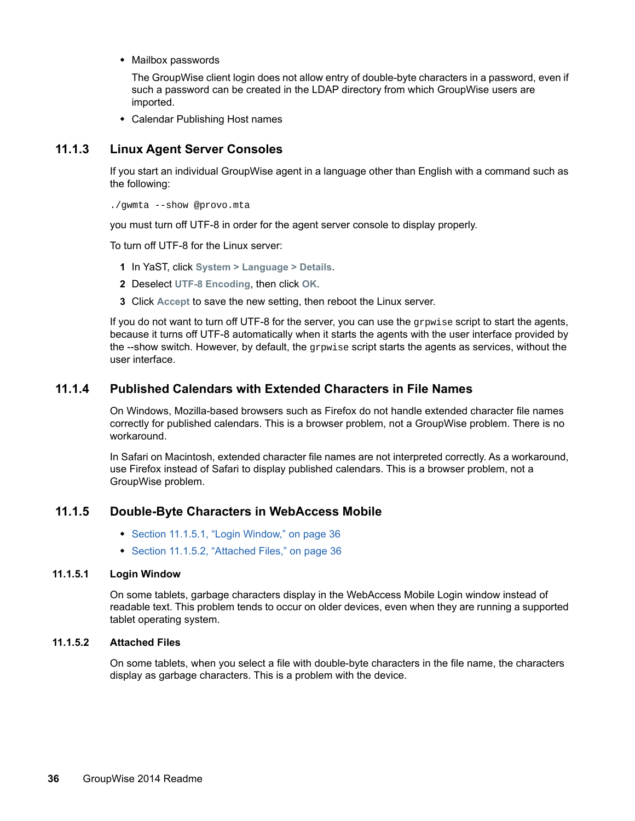Mailbox passwords

The GroupWise client login does not allow entry of double-byte characters in a password, even if such a password can be created in the LDAP directory from which GroupWise users are imported.

Calendar Publishing Host names

#### <span id="page-35-0"></span>**11.1.3 Linux Agent Server Consoles**

If you start an individual GroupWise agent in a language other than English with a command such as the following:

./gwmta --show @provo.mta

you must turn off UTF-8 in order for the agent server console to display properly.

To turn off UTF-8 for the Linux server:

- **1** In YaST, click **System > Language > Details**.
- **2** Deselect **UTF-8 Encoding**, then click **OK**.
- **3** Click **Accept** to save the new setting, then reboot the Linux server.

If you do not want to turn off UTF-8 for the server, you can use the grpwise script to start the agents, because it turns off UTF-8 automatically when it starts the agents with the user interface provided by the --show switch. However, by default, the  $q_{\text{rpwise}}$  script starts the agents as services, without the user interface.

#### <span id="page-35-1"></span>**11.1.4 Published Calendars with Extended Characters in File Names**

On Windows, Mozilla-based browsers such as Firefox do not handle extended character file names correctly for published calendars. This is a browser problem, not a GroupWise problem. There is no workaround.

In Safari on Macintosh, extended character file names are not interpreted correctly. As a workaround, use Firefox instead of Safari to display published calendars. This is a browser problem, not a GroupWise problem.

#### <span id="page-35-2"></span>**11.1.5 Double-Byte Characters in WebAccess Mobile**

- [Section 11.1.5.1, "Login Window," on page 36](#page-35-3)
- [Section 11.1.5.2, "Attached Files," on page 36](#page-35-4)

#### <span id="page-35-3"></span>**11.1.5.1 Login Window**

On some tablets, garbage characters display in the WebAccess Mobile Login window instead of readable text. This problem tends to occur on older devices, even when they are running a supported tablet operating system.

#### <span id="page-35-4"></span>**11.1.5.2 Attached Files**

On some tablets, when you select a file with double-byte characters in the file name, the characters display as garbage characters. This is a problem with the device.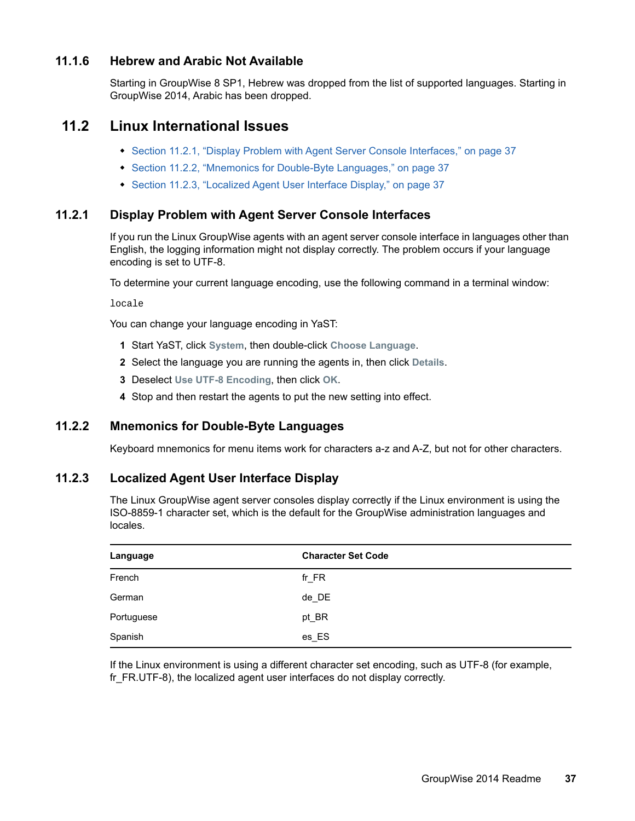#### <span id="page-36-1"></span>**11.1.6 Hebrew and Arabic Not Available**

Starting in GroupWise 8 SP1, Hebrew was dropped from the list of supported languages. Starting in GroupWise 2014, Arabic has been dropped.

### <span id="page-36-0"></span>**11.2 Linux International Issues**

- [Section 11.2.1, "Display Problem with Agent Server Console Interfaces," on page 37](#page-36-2)
- [Section 11.2.2, "Mnemonics for Double-Byte Languages," on page 37](#page-36-3)
- [Section 11.2.3, "Localized Agent User Interface Display," on page 37](#page-36-4)

#### <span id="page-36-2"></span>**11.2.1 Display Problem with Agent Server Console Interfaces**

If you run the Linux GroupWise agents with an agent server console interface in languages other than English, the logging information might not display correctly. The problem occurs if your language encoding is set to UTF-8.

To determine your current language encoding, use the following command in a terminal window:

locale

You can change your language encoding in YaST:

- **1** Start YaST, click **System**, then double-click **Choose Language**.
- **2** Select the language you are running the agents in, then click **Details**.
- **3** Deselect **Use UTF-8 Encoding**, then click **OK**.
- **4** Stop and then restart the agents to put the new setting into effect.

#### <span id="page-36-3"></span>**11.2.2 Mnemonics for Double-Byte Languages**

Keyboard mnemonics for menu items work for characters a-z and A-Z, but not for other characters.

#### <span id="page-36-4"></span>**11.2.3 Localized Agent User Interface Display**

The Linux GroupWise agent server consoles display correctly if the Linux environment is using the ISO-8859-1 character set, which is the default for the GroupWise administration languages and locales.

| Language   | <b>Character Set Code</b> |
|------------|---------------------------|
| French     | $fr_F$ R                  |
| German     | de_DE                     |
| Portuguese | pt_BR                     |
| Spanish    | es_ES                     |

If the Linux environment is using a different character set encoding, such as UTF-8 (for example, fr\_FR.UTF-8), the localized agent user interfaces do not display correctly.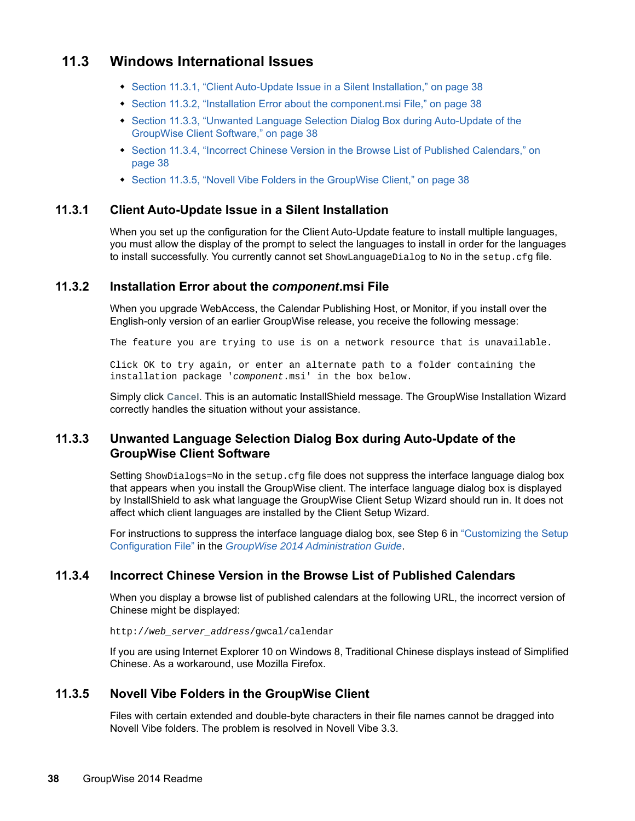## <span id="page-37-0"></span>**11.3 Windows International Issues**

- [Section 11.3.1, "Client Auto-Update Issue in a Silent Installation," on page 38](#page-37-3)
- [Section 11.3.2, "Installation Error about the component.msi File," on page 38](#page-37-4)
- [Section 11.3.3, "Unwanted Language Selection Dialog Box during Auto-Update of the](#page-37-5)  [GroupWise Client Software," on page 38](#page-37-5)
- [Section 11.3.4, "Incorrect Chinese Version in the Browse List of Published Calendars," on](#page-37-1)  [page 38](#page-37-1)
- [Section 11.3.5, "Novell Vibe Folders in the GroupWise Client," on page 38](#page-37-2)

#### <span id="page-37-3"></span>**11.3.1 Client Auto-Update Issue in a Silent Installation**

When you set up the configuration for the Client Auto-Update feature to install multiple languages, you must allow the display of the prompt to select the languages to install in order for the languages to install successfully. You currently cannot set ShowLanguageDialog to No in the setup.cfg file.

#### <span id="page-37-4"></span>**11.3.2 Installation Error about the** *component***.msi File**

When you upgrade WebAccess, the Calendar Publishing Host, or Monitor, if you install over the English-only version of an earlier GroupWise release, you receive the following message:

The feature you are trying to use is on a network resource that is unavailable.

Click OK to try again, or enter an alternate path to a folder containing the installation package '*component*.msi' in the box below.

Simply click **Cancel**. This is an automatic InstallShield message. The GroupWise Installation Wizard correctly handles the situation without your assistance.

#### <span id="page-37-5"></span>**11.3.3 Unwanted Language Selection Dialog Box during Auto-Update of the GroupWise Client Software**

Setting ShowDialogs=No in the setup.cfg file does not suppress the interface language dialog box that appears when you install the GroupWise client. The interface language dialog box is displayed by InstallShield to ask what language the GroupWise Client Setup Wizard should run in. It does not affect which client languages are installed by the Client Setup Wizard.

For instructions to suppress the interface language dialog box, see Step 6 in "Customizing the Setup Configuration File" in the *[GroupWise 2014 Administration Guide](https://www.novell.com/documentation/groupwise2014/gw2014_guide_admin/data/admin_front.html)*.

#### <span id="page-37-1"></span>**11.3.4 Incorrect Chinese Version in the Browse List of Published Calendars**

When you display a browse list of published calendars at the following URL, the incorrect version of Chinese might be displayed:

http://*web\_server\_address*/gwcal/calendar

If you are using Internet Explorer 10 on Windows 8, Traditional Chinese displays instead of Simplified Chinese. As a workaround, use Mozilla Firefox.

#### <span id="page-37-2"></span>**11.3.5 Novell Vibe Folders in the GroupWise Client**

Files with certain extended and double-byte characters in their file names cannot be dragged into Novell Vibe folders. The problem is resolved in Novell Vibe 3.3.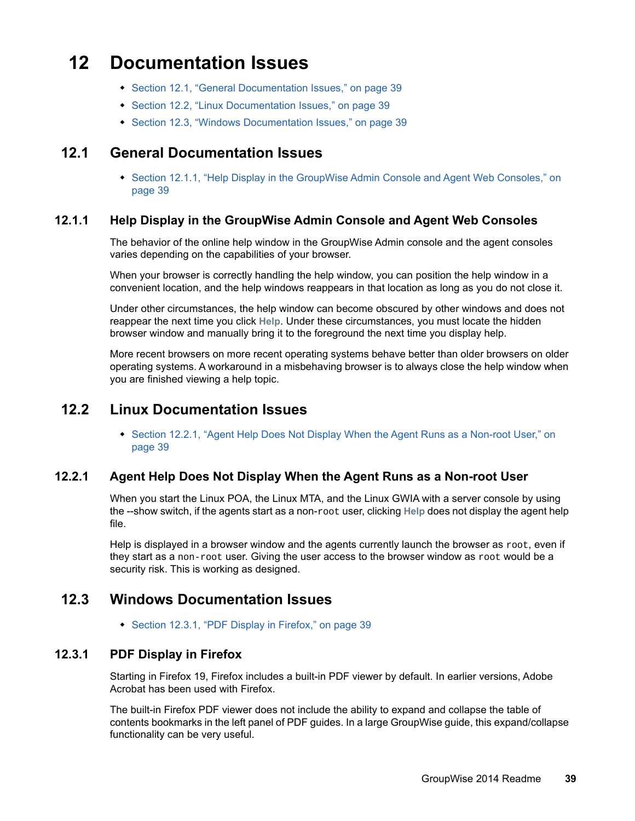## **12 Documentation Issues**

- [Section 12.1, "General Documentation Issues," on page 39](#page-38-0)
- [Section 12.2, "Linux Documentation Issues," on page 39](#page-38-1)
- [Section 12.3, "Windows Documentation Issues," on page 39](#page-38-2)

## <span id="page-38-0"></span>**12.1 General Documentation Issues**

• Section 12.1.1, "Help Display in the GroupWise Admin Console and Agent Web Consoles," on [page 39](#page-38-3)

#### <span id="page-38-3"></span>**12.1.1 Help Display in the GroupWise Admin Console and Agent Web Consoles**

The behavior of the online help window in the GroupWise Admin console and the agent consoles varies depending on the capabilities of your browser.

When your browser is correctly handling the help window, you can position the help window in a convenient location, and the help windows reappears in that location as long as you do not close it.

Under other circumstances, the help window can become obscured by other windows and does not reappear the next time you click **Help**. Under these circumstances, you must locate the hidden browser window and manually bring it to the foreground the next time you display help.

More recent browsers on more recent operating systems behave better than older browsers on older operating systems. A workaround in a misbehaving browser is to always close the help window when you are finished viewing a help topic.

## <span id="page-38-1"></span>**12.2 Linux Documentation Issues**

• Section 12.2.1, "Agent Help Does Not Display When the Agent Runs as a Non-root User," on [page 39](#page-38-4)

#### <span id="page-38-4"></span>**12.2.1 Agent Help Does Not Display When the Agent Runs as a Non-root User**

When you start the Linux POA, the Linux MTA, and the Linux GWIA with a server console by using the --show switch, if the agents start as a non-root user, clicking **Help** does not display the agent help file.

Help is displayed in a browser window and the agents currently launch the browser as  $root$ , even if they start as a non-root user. Giving the user access to the browser window as root would be a security risk. This is working as designed.

## <span id="page-38-2"></span>**12.3 Windows Documentation Issues**

• [Section 12.3.1, "PDF Display in Firefox," on page 39](#page-38-5)

#### <span id="page-38-5"></span>**12.3.1 PDF Display in Firefox**

Starting in Firefox 19, Firefox includes a built-in PDF viewer by default. In earlier versions, Adobe Acrobat has been used with Firefox.

The built-in Firefox PDF viewer does not include the ability to expand and collapse the table of contents bookmarks in the left panel of PDF guides. In a large GroupWise guide, this expand/collapse functionality can be very useful.